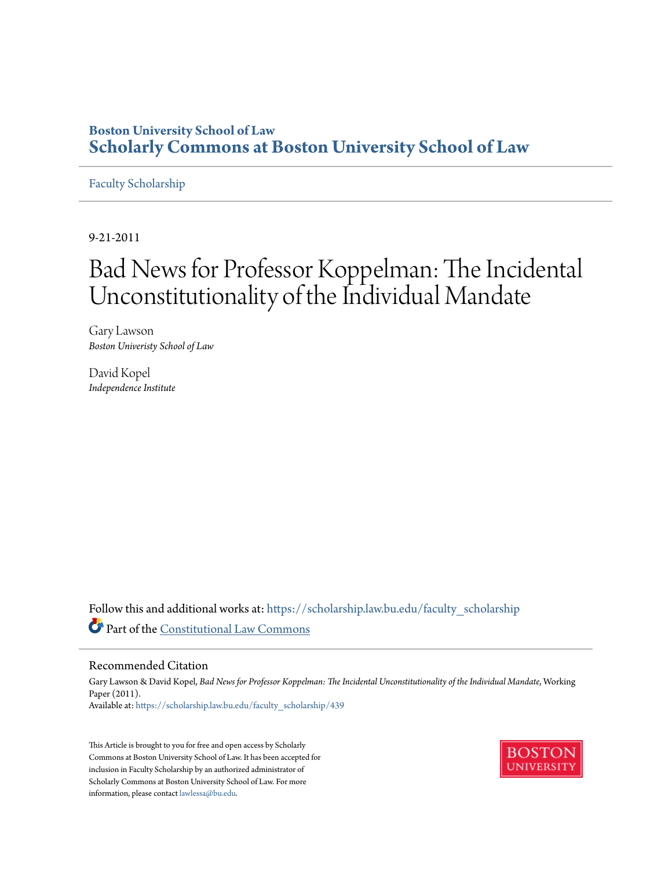# **Boston University School of Law [Scholarly Commons at Boston University School of Law](https://scholarship.law.bu.edu?utm_source=scholarship.law.bu.edu%2Ffaculty_scholarship%2F439&utm_medium=PDF&utm_campaign=PDFCoverPages)**

# [Faculty Scholarship](https://scholarship.law.bu.edu/faculty_scholarship?utm_source=scholarship.law.bu.edu%2Ffaculty_scholarship%2F439&utm_medium=PDF&utm_campaign=PDFCoverPages)

9-21-2011

# Bad News for Professor Koppelman: The Incidental Unconstitutionality of the Individual Mandate

Gary Lawson *Boston Univeristy School of Law*

David Kopel *Independence Institute*

Follow this and additional works at: [https://scholarship.law.bu.edu/faculty\\_scholarship](https://scholarship.law.bu.edu/faculty_scholarship?utm_source=scholarship.law.bu.edu%2Ffaculty_scholarship%2F439&utm_medium=PDF&utm_campaign=PDFCoverPages) Part of the [Constitutional Law Commons](http://network.bepress.com/hgg/discipline/589?utm_source=scholarship.law.bu.edu%2Ffaculty_scholarship%2F439&utm_medium=PDF&utm_campaign=PDFCoverPages)

#### Recommended Citation

Gary Lawson & David Kopel, *Bad News for Professor Koppelman: The Incidental Unconstitutionality of the Individual Mandate*, Working Paper (2011). Available at: [https://scholarship.law.bu.edu/faculty\\_scholarship/439](https://scholarship.law.bu.edu/faculty_scholarship/439?utm_source=scholarship.law.bu.edu%2Ffaculty_scholarship%2F439&utm_medium=PDF&utm_campaign=PDFCoverPages)

This Article is brought to you for free and open access by Scholarly Commons at Boston University School of Law. It has been accepted for inclusion in Faculty Scholarship by an authorized administrator of Scholarly Commons at Boston University School of Law. For more information, please contact [lawlessa@bu.edu.](mailto:lawlessa@bu.edu)

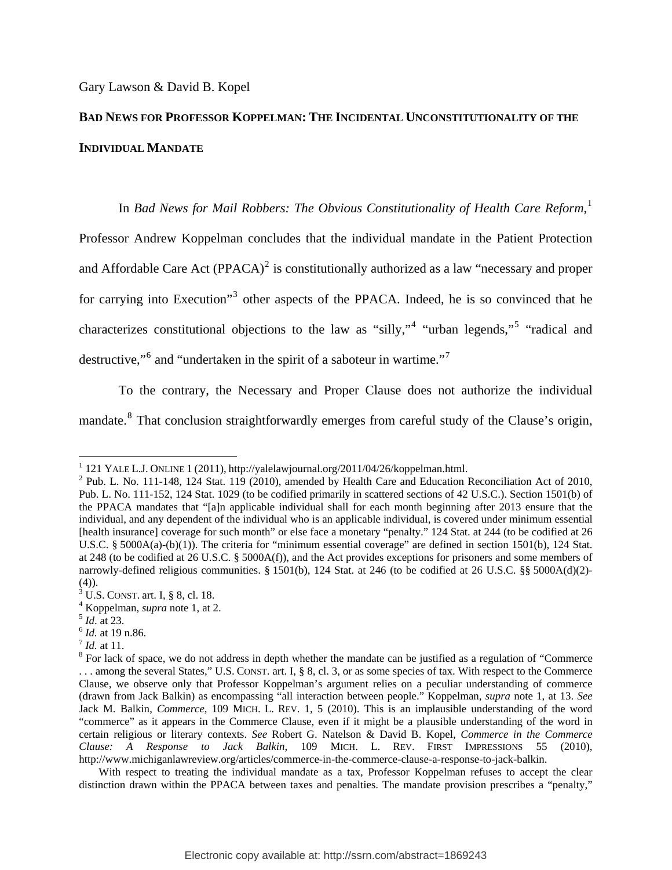# **BAD NEWS FOR PROFESSOR KOPPELMAN: THE INCIDENTAL UNCONSTITUTIONALITY OF THE INDIVIDUAL MANDATE**

In *Bad News for Mail Robbers: The Obvious Constitutionality of Health Care Reform*, [1](#page-1-0) Professor Andrew Koppelman concludes that the individual mandate in the Patient Protection and Affordable Care Act (PPACA)<sup>[2](#page-1-1)</sup> is constitutionally authorized as a law "necessary and proper for carrying into Execution"<sup>[3](#page-1-2)</sup> other aspects of the PPACA. Indeed, he is so convinced that he characterizes constitutional objections to the law as "silly,"<sup>[4](#page-1-3)</sup> "urban legends,"<sup>[5](#page-1-4)</sup> "radical and destructive,"<sup>[6](#page-1-5)</sup> and "undertaken in the spirit of a saboteur in wartime."<sup>[7](#page-1-6)</sup>

To the contrary, the Necessary and Proper Clause does not authorize the individual mandate.<sup>8</sup> That conclusion straightforwardly emerges from careful study of the Clause's origin,

<span id="page-1-5"></span>

<sup>&</sup>lt;sup>1</sup> 121 YALE L.J. ONLINE 1 (2011), http://yalelawjournal.org/2011/04/26/koppelman.html.<br><sup>2</sup> Pub. L. No. 111 148, 124 Stot, 110 (2010), smanded by Health Care and Education I

<span id="page-1-1"></span><span id="page-1-0"></span> $2$  Pub. L. No. 111-148, 124 Stat. 119 (2010), amended by Health Care and Education Reconciliation Act of 2010, Pub. L. No. 111-152, 124 Stat. 1029 (to be codified primarily in scattered sections of 42 U.S.C.). Section 1501(b) of the PPACA mandates that "[a]n applicable individual shall for each month beginning after 2013 ensure that the individual, and any dependent of the individual who is an applicable individual, is covered under minimum essential [health insurance] coverage for such month" or else face a monetary "penalty." 124 Stat. at 244 (to be codified at 26 U.S.C. § 5000A(a)-(b)(1)). The criteria for "minimum essential coverage" are defined in section 1501(b), 124 Stat. at 248 (to be codified at 26 U.S.C. § 5000A(f)), and the Act provides exceptions for prisoners and some members of narrowly-defined religious communities. § 1501(b), 124 Stat. at 246 (to be codified at 26 U.S.C. §§ 5000A(d)(2)-(4)).

<span id="page-1-2"></span> $^{3}$  U.S. CONST. art. I, § 8, cl. 18.

<span id="page-1-3"></span><sup>&</sup>lt;sup>4</sup> Koppelman, *supra* note 1, at 2.<br>
<sup>5</sup> *Id.* at 23.<br>
<sup>6</sup> *Id.* at 19 n.86.<br>
<sup>7</sup> *Id.* at 11.

<span id="page-1-4"></span>

<span id="page-1-6"></span>

<span id="page-1-7"></span><sup>&</sup>lt;sup>8</sup> For lack of space, we do not address in depth whether the mandate can be justified as a regulation of "Commerce" ... among the several States," U.S. CONST. art. I, § 8, cl. 3, or as some species of tax. With respect to the Commerce Clause, we observe only that Professor Koppelman's argument relies on a peculiar understanding of commerce (drawn from Jack Balkin) as encompassing "all interaction between people." Koppelman, *supra* note 1, at 13. *See* Jack M. Balkin, *Commerce*, 109 MICH. L. REV. 1, 5 (2010). This is an implausible understanding of the word "commerce" as it appears in the Commerce Clause, even if it might be a plausible understanding of the word in certain religious or literary contexts. *See* Robert G. Natelson & David B. Kopel, *Commerce in the Commerce Clause: A Response to Jack Balkin*, 109 MICH. L. REV. FIRST IMPRESSIONS 55 (2010), http://www.michiganlawreview.org/articles/commerce-in-the-commerce-clause-a-response-to-jack-balkin.

With respect to treating the individual mandate as a tax, Professor Koppelman refuses to accept the clear distinction drawn within the PPACA between taxes and penalties. The mandate provision prescribes a "penalty,"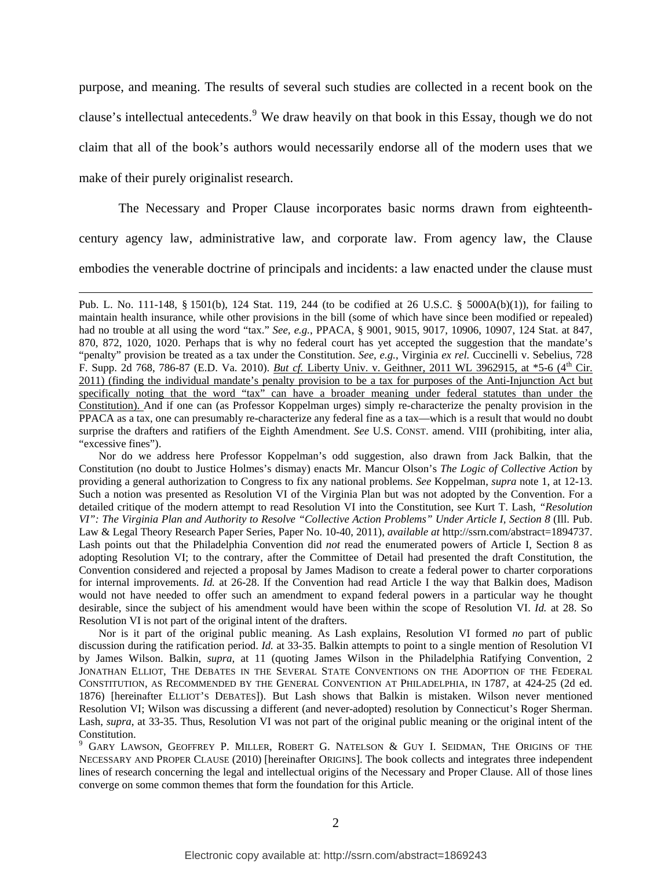purpose, and meaning. The results of several such studies are collected in a recent book on the clause's intellectual antecedents.<sup>[9](#page-1-7)</sup> We draw heavily on that book in this Essay, though we do not claim that all of the book's authors would necessarily endorse all of the modern uses that we make of their purely originalist research.

The Necessary and Proper Clause incorporates basic norms drawn from eighteenthcentury agency law, administrative law, and corporate law. From agency law, the Clause embodies the venerable doctrine of principals and incidents: a law enacted under the clause must

<u> 1989 - Andrea Santa Andrea Andrea Andrea Andrea Andrea Andrea Andrea Andrea Andrea Andrea Andrea Andrea Andr</u>

Nor do we address here Professor Koppelman's odd suggestion, also drawn from Jack Balkin, that the Constitution (no doubt to Justice Holmes's dismay) enacts Mr. Mancur Olson's *The Logic of Collective Action* by providing a general authorization to Congress to fix any national problems. *See* Koppelman, *supra* note 1, at 12-13. Such a notion was presented as Resolution VI of the Virginia Plan but was not adopted by the Convention. For a detailed critique of the modern attempt to read Resolution VI into the Constitution, see Kurt T. Lash, *"Resolution VI": The Virginia Plan and Authority to Resolve "Collective Action Problems" Under Article I, Section 8* (Ill. Pub. Law & Legal Theory Research Paper Series, Paper No. 10-40, 2011), *available at* http://ssrn.com/abstract=1894737. Lash points out that the Philadelphia Convention did *not* read the enumerated powers of Article I, Section 8 as adopting Resolution VI; to the contrary, after the Committee of Detail had presented the draft Constitution, the Convention considered and rejected a proposal by James Madison to create a federal power to charter corporations for internal improvements. *Id.* at 26-28. If the Convention had read Article I the way that Balkin does, Madison would not have needed to offer such an amendment to expand federal powers in a particular way he thought desirable, since the subject of his amendment would have been within the scope of Resolution VI. *Id.* at 28. So Resolution VI is not part of the original intent of the drafters.

Nor is it part of the original public meaning. As Lash explains, Resolution VI formed *no* part of public discussion during the ratification period. *Id.* at 33-35. Balkin attempts to point to a single mention of Resolution VI by James Wilson. Balkin, *supra*, at 11 (quoting James Wilson in the Philadelphia Ratifying Convention, 2 JONATHAN ELLIOT, THE DEBATES IN THE SEVERAL STATE CONVENTIONS ON THE ADOPTION OF THE FEDERAL CONSTITUTION, AS RECOMMENDED BY THE GENERAL CONVENTION AT PHILADELPHIA, IN 1787, at 424-25 (2d ed. 1876) [hereinafter ELLIOT'S DEBATES]). But Lash shows that Balkin is mistaken. Wilson never mentioned Resolution VI; Wilson was discussing a different (and never-adopted) resolution by Connecticut's Roger Sherman. Lash, *supra*, at 33-35. Thus, Resolution VI was not part of the original public meaning or the original intent of the Constitution.

 $9$  Gary Lawson, Geoffrey P. Miller, Robert G. Natelson & Guy I. Seidman, The Origins of the NECESSARY AND PROPER CLAUSE (2010) [hereinafter ORIGINS]. The book collects and integrates three independent lines of research concerning the legal and intellectual origins of the Necessary and Proper Clause. All of those lines converge on some common themes that form the foundation for this Article.

Pub. L. No. 111-148, § 1501(b), 124 Stat. 119, 244 (to be codified at 26 U.S.C. § 5000A(b)(1)), for failing to maintain health insurance, while other provisions in the bill (some of which have since been modified or repealed) had no trouble at all using the word "tax." *See, e.g.*, PPACA, § 9001, 9015, 9017, 10906, 10907, 124 Stat. at 847, 870, 872, 1020, 1020. Perhaps that is why no federal court has yet accepted the suggestion that the mandate's "penalty" provision be treated as a tax under the Constitution. *See, e.g.*, Virginia *ex rel.* Cuccinelli v. Sebelius, 728 F. Supp. 2d 768, 786-87 (E.D. Va. 2010). *But cf.* Liberty Univ. v. Geithner, 2011 WL 3962915, at \*5-6 (4th Cir. 2011) (finding the individual mandate's penalty provision to be a tax for purposes of the Anti-Injunction Act but specifically noting that the word "tax" can have a broader meaning under federal statutes than under the Constitution). And if one can (as Professor Koppelman urges) simply re-characterize the penalty provision in the PPACA as a tax, one can presumably re-characterize any federal fine as a tax—which is a result that would no doubt surprise the drafters and ratifiers of the Eighth Amendment. *See* U.S. CONST. amend. VIII (prohibiting, inter alia, "excessive fines").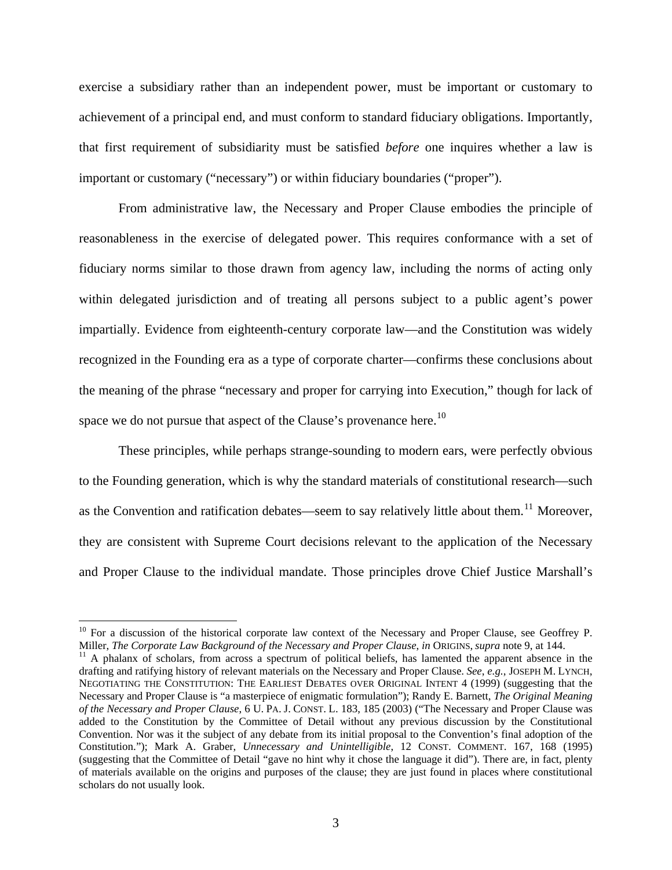exercise a subsidiary rather than an independent power, must be important or customary to achievement of a principal end, and must conform to standard fiduciary obligations. Importantly, that first requirement of subsidiarity must be satisfied *before* one inquires whether a law is important or customary ("necessary") or within fiduciary boundaries ("proper").

From administrative law, the Necessary and Proper Clause embodies the principle of reasonableness in the exercise of delegated power. This requires conformance with a set of fiduciary norms similar to those drawn from agency law, including the norms of acting only within delegated jurisdiction and of treating all persons subject to a public agent's power impartially. Evidence from eighteenth-century corporate law—and the Constitution was widely recognized in the Founding era as a type of corporate charter—confirms these conclusions about the meaning of the phrase "necessary and proper for carrying into Execution," though for lack of space we do not pursue that aspect of the Clause's provenance here.<sup>[10](#page-3-0)</sup>

These principles, while perhaps strange-sounding to modern ears, were perfectly obvious to the Founding generation, which is why the standard materials of constitutional research—such as the Convention and ratification debates—seem to say relatively little about them.<sup>[11](#page-3-1)</sup> Moreover, they are consistent with Supreme Court decisions relevant to the application of the Necessary and Proper Clause to the individual mandate. Those principles drove Chief Justice Marshall's

<span id="page-3-0"></span><sup>&</sup>lt;sup>10</sup> For a discussion of the historical corporate law context of the Necessary and Proper Clause, see Geoffrey P.

<span id="page-3-1"></span>Miller, *The Corporate Law Background of the Necessary and Proper Clause*, *in ORIGINS*, *supra* note 9, at 144.<br><sup>11</sup> A phalanx of scholars, from across a spectrum of political beliefs, has lamented the apparent absence in drafting and ratifying history of relevant materials on the Necessary and Proper Clause. *See*, *e.g.*, JOSEPH M. LYNCH, NEGOTIATING THE CONSTITUTION: THE EARLIEST DEBATES OVER ORIGINAL INTENT 4 (1999) (suggesting that the Necessary and Proper Clause is "a masterpiece of enigmatic formulation"); Randy E. Barnett, *The Original Meaning of the Necessary and Proper Clause*, 6 U. PA. J. CONST. L. 183, 185 (2003) ("The Necessary and Proper Clause was added to the Constitution by the Committee of Detail without any previous discussion by the Constitutional Convention. Nor was it the subject of any debate from its initial proposal to the Convention's final adoption of the Constitution."); Mark A. Graber, *Unnecessary and Unintelligible*, 12 CONST. COMMENT. 167, 168 (1995) (suggesting that the Committee of Detail "gave no hint why it chose the language it did"). There are, in fact, plenty of materials available on the origins and purposes of the clause; they are just found in places where constitutional scholars do not usually look.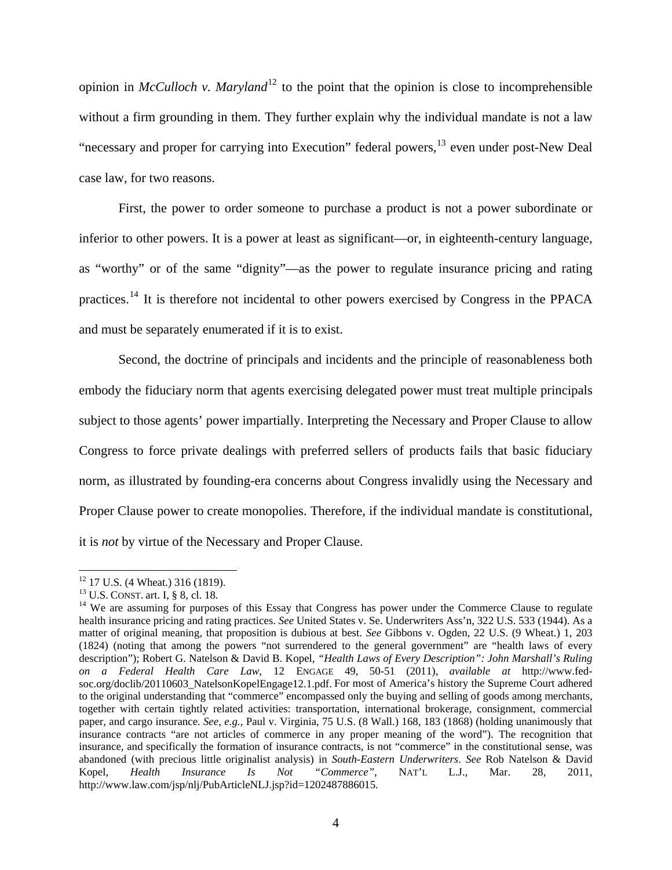opinion in *McCulloch v. Maryland*<sup>[12](#page-4-0)</sup> to the point that the opinion is close to incomprehensible without a firm grounding in them. They further explain why the individual mandate is not a law "necessary and proper for carrying into Execution" federal powers,[13](#page-4-1) even under post-New Deal case law, for two reasons.

First, the power to order someone to purchase a product is not a power subordinate or inferior to other powers. It is a power at least as significant—or, in eighteenth-century language, as "worthy" or of the same "dignity"—as the power to regulate insurance pricing and rating practices.[14](#page-4-2) It is therefore not incidental to other powers exercised by Congress in the PPACA and must be separately enumerated if it is to exist.

Second, the doctrine of principals and incidents and the principle of reasonableness both embody the fiduciary norm that agents exercising delegated power must treat multiple principals subject to those agents' power impartially. Interpreting the Necessary and Proper Clause to allow Congress to force private dealings with preferred sellers of products fails that basic fiduciary norm, as illustrated by founding-era concerns about Congress invalidly using the Necessary and Proper Clause power to create monopolies. Therefore, if the individual mandate is constitutional, it is *not* by virtue of the Necessary and Proper Clause.

  $12$  17 U.S. (4 Wheat.) 316 (1819).

<span id="page-4-2"></span><span id="page-4-1"></span><span id="page-4-0"></span><sup>&</sup>lt;sup>13</sup> U.S. CONST. art. I, § 8, cl. 18.<br><sup>14</sup> We are assuming for purposes of this Essay that Congress has power under the Commerce Clause to regulate health insurance pricing and rating practices. *See* United States v. Se. Underwriters Ass'n, 322 U.S. 533 (1944). As a matter of original meaning, that proposition is dubious at best. *See* Gibbons v. Ogden, 22 U.S. (9 Wheat.) 1, 203 (1824) (noting that among the powers "not surrendered to the general government" are "health laws of every description"); Robert G. Natelson & David B. Kopel, *"Health Laws of Every Description": John Marshall's Ruling on a Federal Health Care Law*, 12 ENGAGE 49, 50-51 (2011), *available at* http://www.fedsoc.org/doclib/20110603\_NatelsonKopelEngage12.1.pdf. For most of America's history the Supreme Court adhered to the original understanding that "commerce" encompassed only the buying and selling of goods among merchants, together with certain tightly related activities: transportation, international brokerage, consignment, commercial paper, and cargo insurance. *See, e.g.*, Paul v. Virginia, 75 U.S. (8 Wall.) 168, 183 (1868) (holding unanimously that insurance contracts "are not articles of commerce in any proper meaning of the word"). The recognition that insurance, and specifically the formation of insurance contracts, is not "commerce" in the constitutional sense, was abandoned (with precious little originalist analysis) in *South-Eastern Underwriters*. *See* Rob Natelson & David Kopel, *Health Insurance Is Not "Commerce"*, NAT'L L.J., Mar. 28, 2011, http://www.law.com/jsp/nlj/PubArticleNLJ.jsp?id=1202487886015.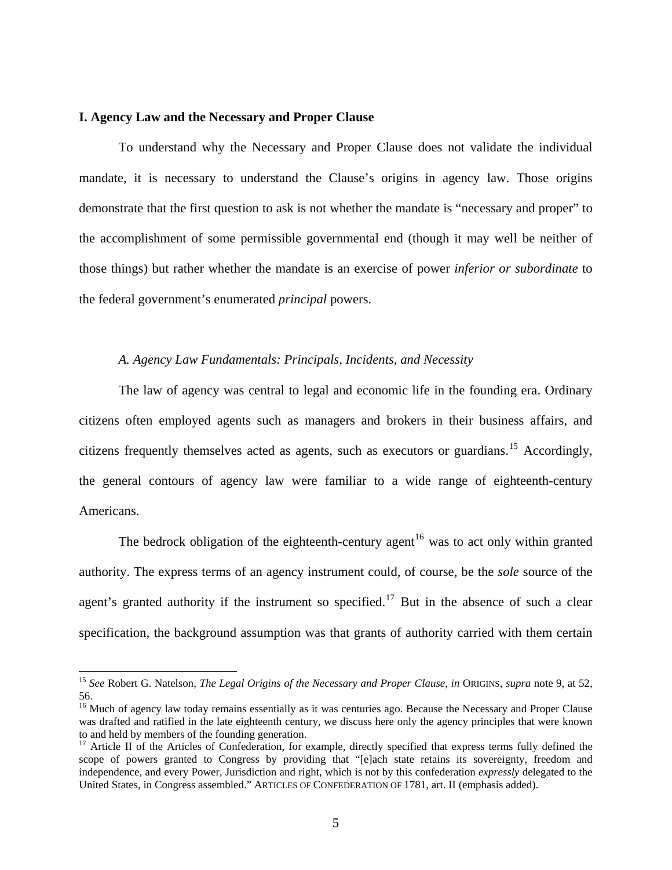#### **I. Agency Law and the Necessary and Proper Clause**

To understand why the Necessary and Proper Clause does not validate the individual mandate, it is necessary to understand the Clause's origins in agency law. Those origins demonstrate that the first question to ask is not whether the mandate is "necessary and proper" to the accomplishment of some permissible governmental end (though it may well be neither of those things) but rather whether the mandate is an exercise of power *inferior or subordinate* to the federal government's enumerated *principal* powers.

# *A. Agency Law Fundamentals: Principals, Incidents, and Necessity*

The law of agency was central to legal and economic life in the founding era. Ordinary citizens often employed agents such as managers and brokers in their business affairs, and citizens frequently themselves acted as agents, such as executors or guardians.<sup>[15](#page-5-0)</sup> Accordingly, the general contours of agency law were familiar to a wide range of eighteenth-century Americ ans.

specification, the background assumption was that grants of authority carried with them certain The bedrock obligation of the eighteenth-century agent<sup>[16](#page-5-1)</sup> was to act only within granted authority. The express terms of an agency instrument could, of course, be the *sole* source of the agent's granted authority if the instrument so specified.<sup>[17](#page-5-2)</sup> But in the absence of such a clear

<span id="page-5-0"></span><sup>15</sup> *See* Robert G. Natelson, *The Legal Origins of the Necessary and Proper Clause*, *in* ORIGINS, *supra* note 9, at 52, 56.

<span id="page-5-1"></span><sup>&</sup>lt;sup>16</sup> Much of agency law today remains essentially as it was centuries ago. Because the Necessary and Proper Clause was drafted and ratified in the late eighteenth century, we discuss here only the agency principles that were known to and held by members of the founding generation.

<span id="page-5-2"></span><sup>&</sup>lt;sup>17</sup> Article II of the Articles of Confederation, for example, directly specified that express terms fully defined the scope of powers granted to Congress by providing that "[e]ach state retains its sovereignty, freedom and independence, and every Power, Jurisdiction and right, which is not by this confederation *expressly* delegated to the United States, in Congress assembled." ARTICLES OF CONFEDERATION OF 1781, art. II (emphasis added).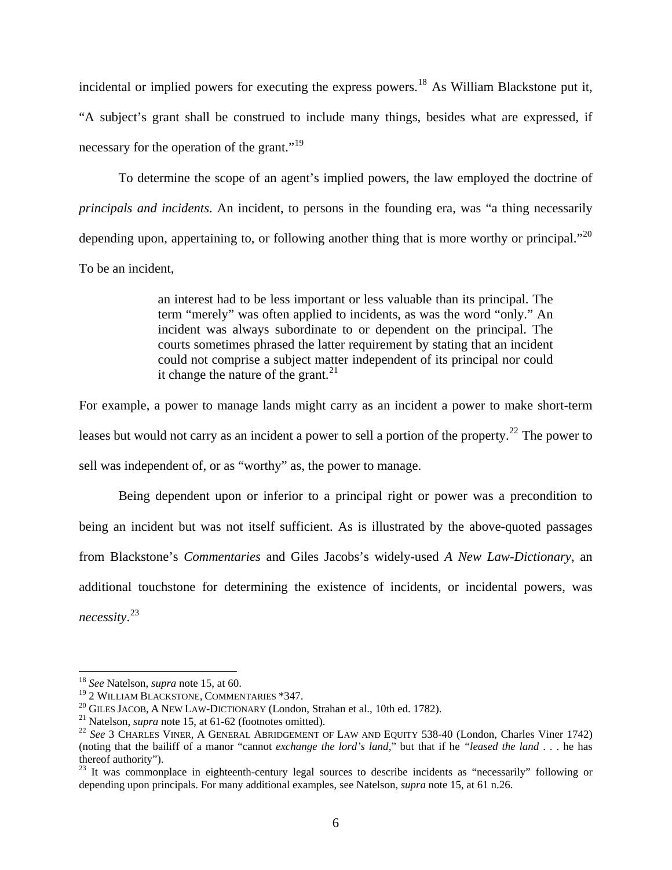incidental or implied powers for executing the express powers.<sup>[18](#page-6-0)</sup> As William Blackstone put it, "A subject's grant shall be construed to include many things, besides what are expressed, if necessary for the operation of the grant." $19$ 

To determine the scope of an agent's implied powers, the law employed the doctrine of *principals and incidents*. An incident, to persons in the founding era, was "a thing necessarily depending upon, appertaining to, or following another thing that is more worthy or principal."<sup>[20](#page-6-2)</sup> To be an incident,

> an interest had to be less important or less valuable than its principal. The term "merely" was often applied to incidents, as was the word "only." An incident was always subordinate to or dependent on the principal. The courts sometimes phrased the latter requirement by stating that an incident could not comprise a subject matter independent of its principal nor could it change the nature of the grant. $^{21}$  $^{21}$  $^{21}$

For example, a power to manage lands might carry as an incident a power to make short-term leases but would not carry as an incident a power to sell a portion of the property.<sup>[22](#page-6-4)</sup> The power to sell was independent of, or as "worthy" as, the power to manage.

Being dependent upon or inferior to a principal right or power was a precondition to being an incident but was not itself sufficient. As is illustrated by the above-quoted passages from Blackstone's *Commentaries* and Giles Jacobs's widely-used *A New Law-Dictionary*, an additional touchstone for determining the existence of incidents, or incidental powers, was *necessity*. [23](#page-6-5)

<span id="page-6-0"></span><sup>&</sup>lt;sup>18</sup> *See* Natelson, *supra* note 15, at 60.<br><sup>19</sup> 2 WILLIAM BLACKSTONE, COMMENTARIES \*347.

<span id="page-6-4"></span>

<span id="page-6-3"></span><span id="page-6-2"></span><span id="page-6-1"></span><sup>&</sup>lt;sup>20</sup> GILES JACOB, A NEW LAW-DICTIONARY (London, Strahan et al., 10th ed. 1782).<br><sup>21</sup> Natelson, *supra* note 15, at 61-62 (footnotes omitted).<br><sup>22</sup> See 3 CHARLES VINER, A GENERAL ABRIDGEMENT OF LAW AND EQUITY 538-40 (Londo (noting that the bailiff of a manor "cannot *exchange the lord's land*," but that if he *"leased the land* . . . he has thereof authority").

<span id="page-6-5"></span><sup>&</sup>lt;sup>23</sup> It was commonplace in eighteenth-century legal sources to describe incidents as "necessarily" following or depending upon principals. For many additional examples, see Natelson, *supra* note 15, at 61 n.26.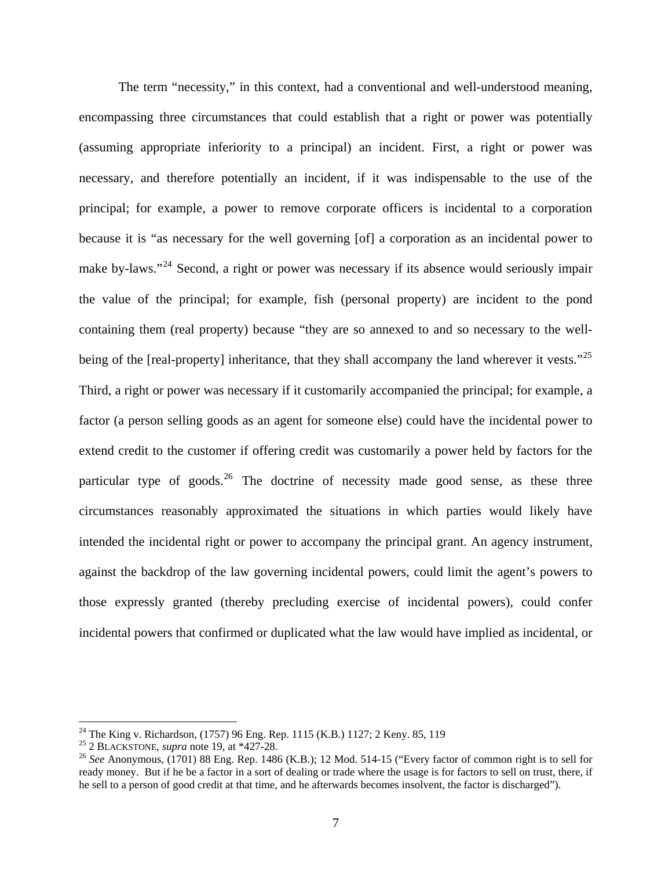The term "necessity," in this context, had a conventional and well-understood meaning, encompassing three circumstances that could establish that a right or power was potentially (assuming appropriate inferiority to a principal) an incident. First, a right or power was necessary, and therefore potentially an incident, if it was indispensable to the use of the principal; for example, a power to remove corporate officers is incidental to a corporation because it is "as necessary for the well governing [of] a corporation as an incidental power to make by-laws."<sup>[24](#page-7-0)</sup> Second, a right or power was necessary if its absence would seriously impair the value of the principal; for example, fish (personal property) are incident to the pond containing them (real property) because "they are so annexed to and so necessary to the well-being of the [real-property] inheritance, that they shall accompany the land wherever it vests."<sup>[25](#page-7-1)</sup> Third, a right or power was necessary if it customarily accompanied the principal; for example, a factor (a person selling goods as an agent for someone else) could have the incidental power to extend credit to the customer if offering credit was customarily a power held by factors for the particular type of goods. $26$  The doctrine of necessity made good sense, as these three circumstances reasonably approximated the situations in which parties would likely have intended the incidental right or power to accompany the principal grant. An agency instrument, against the backdrop of the law governing incidental powers, could limit the agent's powers to those expressly granted (thereby precluding exercise of incidental powers), could confer incidental powers that confirmed or duplicated what the law would have implied as incidental, or

<span id="page-7-0"></span><sup>&</sup>lt;sup>24</sup> The King v. Richardson, (1757) 96 Eng. Rep. 1115 (K.B.) 1127; 2 Keny. 85, 119

<span id="page-7-1"></span>

<span id="page-7-2"></span><sup>&</sup>lt;sup>26</sup> See Anonymous,  $(1701)$  88 Eng. Rep. 1486 (K.B.); 12 Mod. 514-15 ("Every factor of common right is to sell for ready money. But if he be a factor in a sort of dealing or trade where the usage is for factors to sell on trust, there, if he sell to a person of good credit at that time, and he afterwards becomes insolvent, the factor is discharged").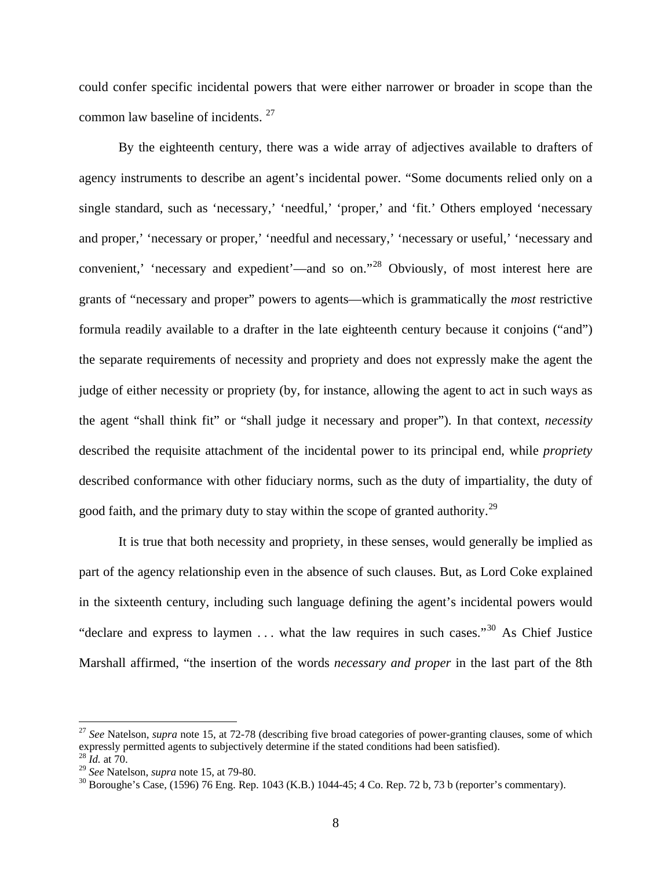could confer specific incidental powers that were either narrower or broader in scope than the common law baseline of incidents.<sup>[27](#page-8-0)</sup>

By the eighteenth century, there was a wide array of adjectives available to drafters of agency instruments to describe an agent's incidental power. "Some documents relied only on a single standard, such as 'necessary,' 'needful,' 'proper,' and 'fit.' Others employed 'necessary and proper,' 'necessary or proper,' 'needful and necessary,' 'necessary or useful,' 'necessary and convenient,' 'necessary and expedient'—and so on."[28](#page-8-1) Obviously, of most interest here are grants of "necessary and proper" powers to agents—which is grammatically the *most* restrictive formula readily available to a drafter in the late eighteenth century because it conjoins ("and") the separate requirements of necessity and propriety and does not expressly make the agent the judge of either necessity or propriety (by, for instance, allowing the agent to act in such ways as the agent "shall think fit" or "shall judge it necessary and proper"). In that context, *necessity* described the requisite attachment of the incidental power to its principal end, while *propriety* described conformance with other fiduciary norms, such as the duty of impartiality, the duty of good faith, and the primary duty to stay within the scope of granted authority.<sup>[29](#page-8-2)</sup>

It is true that both necessity and propriety, in these senses, would generally be implied as part of the agency relationship even in the absence of such clauses. But, as Lord Coke explained in the sixteenth century, including such language defining the agent's incidental powers would "declare and express to laymen  $\dots$  what the law requires in such cases."<sup>[30](#page-8-3)</sup> As Chief Justice Marshall affirmed, "the insertion of the words *necessary and proper* in the last part of the 8th

<span id="page-8-0"></span><sup>&</sup>lt;sup>27</sup> See Natelson, *supra* note 15, at 72-78 (describing five broad categories of power-granting clauses, some of which expressly permitted agents to subjectively determine if the stated conditions had been satisfied).<br><sup>28</sup> *Id.* at 70.<br><sup>29</sup> *See* Natelson, *supra* note 15, at 79-80.

<span id="page-8-2"></span><span id="page-8-1"></span>

<span id="page-8-3"></span><sup>&</sup>lt;sup>30</sup> Boroughe's Case, (1596) 76 Eng. Rep. 1043 (K.B.) 1044-45; 4 Co. Rep. 72 b, 73 b (reporter's commentary).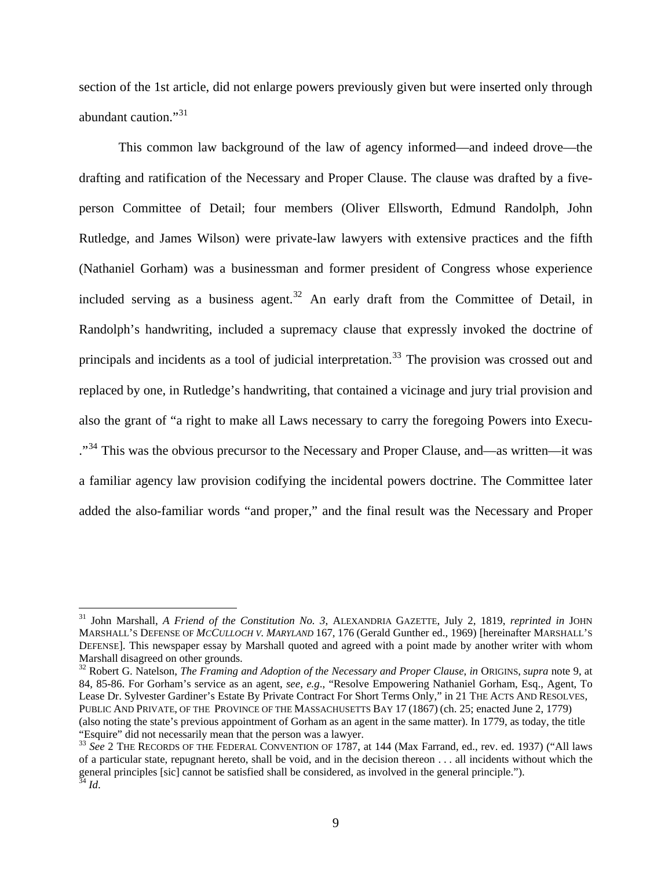section of the 1st article, did not enlarge powers previously given but were inserted only through abundant caution."<sup>[31](#page-9-0)</sup>

This common law background of the law of agency informed—and indeed drove—the drafting and ratification of the Necessary and Proper Clause. The clause was drafted by a fiveperson Committee of Detail; four members (Oliver Ellsworth, Edmund Randolph, John Rutledge, and James Wilson) were private-law lawyers with extensive practices and the fifth (Nathaniel Gorham) was a businessman and former president of Congress whose experience included serving as a business agent.<sup>[32](#page-9-1)</sup> An early draft from the Committee of Detail, in Randolph's handwriting, included a supremacy clause that expressly invoked the doctrine of principals and incidents as a tool of judicial interpretation.<sup>[33](#page-9-2)</sup> The provision was crossed out and replaced by one, in Rutledge's handwriting, that contained a vicinage and jury trial provision and also the grant of "a right to make all Laws necessary to carry the foregoing Powers into Execu- ."<sup>[34](#page-9-3)</sup> This was the obvious precursor to the Necessary and Proper Clause, and—as written—it was a familiar agency law provision codifying the incidental powers doctrine. The Committee later added the also-familiar words "and proper," and the final result was the Necessary and Proper

<span id="page-9-1"></span>32 Robert G. Natelson, *The Framing and Adoption of the Necessary and Proper Clause*, *in* ORIGINS, *supra* note 9, at 84, 85-86. For Gorham's service as an agent, *see*, *e.g*., "Resolve Empowering Nathaniel Gorham, Esq., Agent, To Lease Dr. Sylvester Gardiner's Estate By Private Contract For Short Terms Only," in 21 THE ACTS AND RESOLVES, PUBLIC AND PRIVATE, OF THE PROVINCE OF THE MASSACHUSETTS BAY 17 (1867) (ch. 25; enacted June 2, 1779) (also noting the state's previous appointment of Gorham as an agent in the same matter). In 1779, as today, the title "Esquire" did not necessarily mean that the person was a lawyer.<br><sup>33</sup> *See* 2 THE RECORDS OF THE FEDERAL CONVENTION OF 1787, at 144 (Max Farrand, ed., rev. ed. 1937) ("All laws

<span id="page-9-0"></span><sup>31</sup> John Marshall, *A Friend of the Constitution No. 3*, ALEXANDRIA GAZETTE, July 2, 1819, *reprinted in* JOHN MARSHALL'S DEFENSE OF *MCCULLOCH V. MARYLAND* 167, 176 (Gerald Gunther ed., 1969) [hereinafter MARSHALL'S DEFENSE]. This newspaper essay by Marshall quoted and agreed with a point made by another writer with whom Marshall disagreed on other grounds.

<span id="page-9-3"></span><span id="page-9-2"></span>of a particular state, repugnant hereto, shall be void, and in the decision thereon . . . all incidents without which the general principles [sic] cannot be satisfied shall be considered, as involved in the general principle."). <sup>34</sup> *Id*.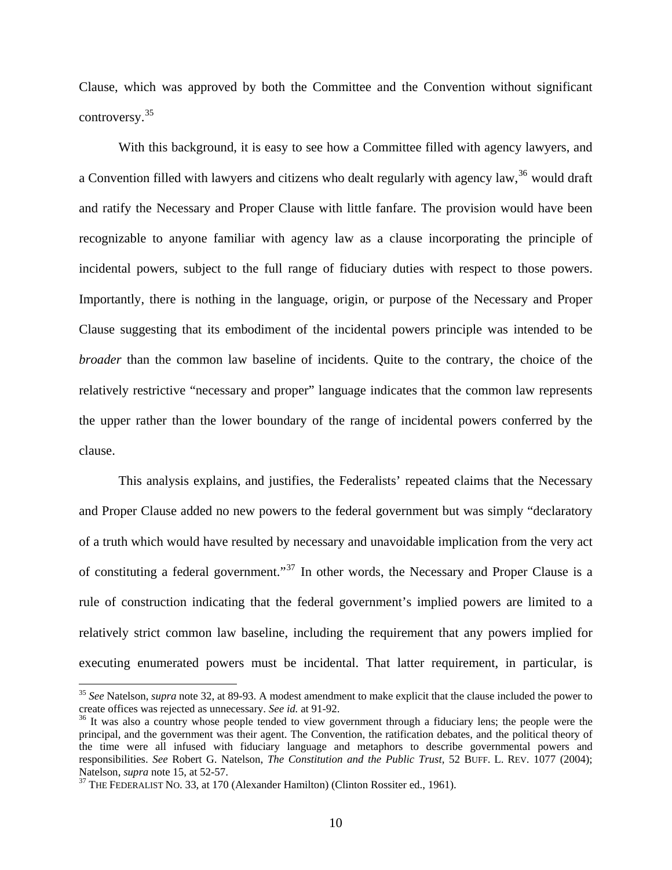Clause, which was approved by both the Committee and the Convention without significant controversy.[35](#page-10-0)

With this background, it is easy to see how a Committee filled with agency lawyers, and a Convention filled with lawyers and citizens who dealt regularly with agency law,<sup>[36](#page-10-1)</sup> would draft and ratify the Necessary and Proper Clause with little fanfare. The provision would have been recognizable to anyone familiar with agency law as a clause incorporating the principle of incidental powers, subject to the full range of fiduciary duties with respect to those powers. Importantly, there is nothing in the language, origin, or purpose of the Necessary and Proper Clause suggesting that its embodiment of the incidental powers principle was intended to be *broader* than the common law baseline of incidents. Quite to the contrary, the choice of the relatively restrictive "necessary and proper" language indicates that the common law represents the upper rather than the lower boundary of the range of incidental powers conferred by the clause.

This analysis explains, and justifies, the Federalists' repeated claims that the Necessary and Proper Clause added no new powers to the federal government but was simply "declaratory of a truth which would have resulted by necessary and unavoidable implication from the very act of constituting a federal government."<sup>[37](#page-10-2)</sup> In other words, the Necessary and Proper Clause is a rule of construction indicating that the federal government's implied powers are limited to a relatively strict common law baseline, including the requirement that any powers implied for executing enumerated powers must be incidental. That latter requirement, in particular, is

<span id="page-10-0"></span><sup>35</sup> *See* Natelson, *supra* note 32, at 89-93. A modest amendment to make explicit that the clause included the power to create offices was rejected as unnecessary. *See id.* at 91-92.<br><sup>36</sup> It was also a country whose people tended to view government through a fiduciary lens; the people were the

<span id="page-10-1"></span>principal, and the government was their agent. The Convention, the ratification debates, and the political theory of the time were all infused with fiduciary language and metaphors to describe governmental powers and responsibilities. *See* Robert G. Natelson, *The Constitution and the Public Trust*, 52 BUFF. L. REV. 1077 (2004); Natelson, *supra* note 15, at 52-57.<br><sup>37</sup> THE FEDERALIST NO. 33, at 170 (Alexander Hamilton) (Clinton Rossiter ed., 1961).

<span id="page-10-2"></span>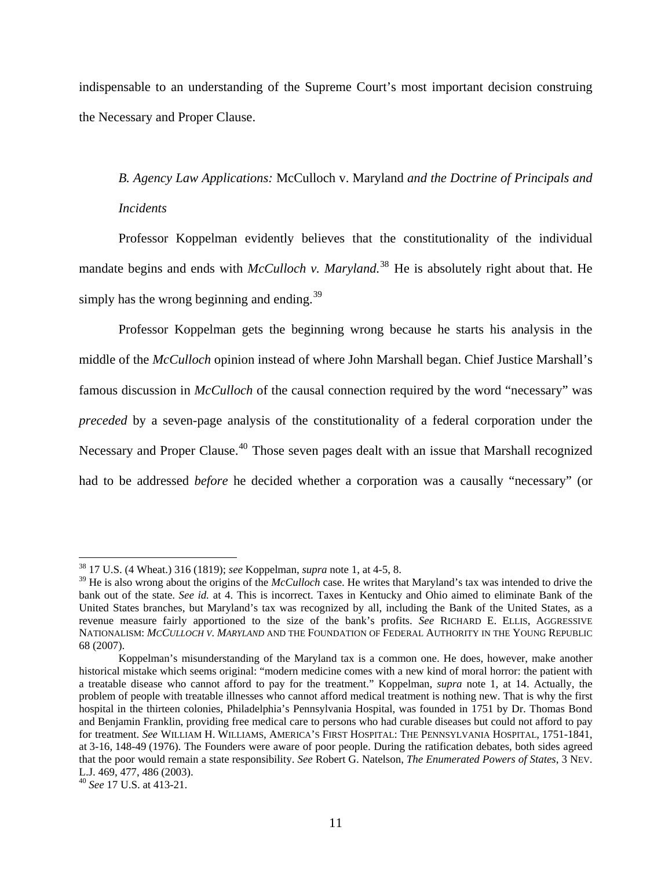indispensable to an understanding of the Supreme Court's most important decision construing the Necessary and Proper Clause.

*B. Agency Law Applications:* McCulloch v. Maryland *and the Doctrine of Principals and Incidents* 

Professor Koppelman evidently believes that the constitutionality of the individual mandate begins and ends with *McCulloch v. Maryland*.<sup>[38](#page-11-0)</sup> He is absolutely right about that. He simply has the wrong beginning and ending. $39$ 

Professor Koppelman gets the beginning wrong because he starts his analysis in the middle of the *McCulloch* opinion instead of where John Marshall began. Chief Justice Marshall's famous discussion in *McCulloch* of the causal connection required by the word "necessary" was *preceded* by a seven-page analysis of the constitutionality of a federal corporation under the Necessary and Proper Clause.<sup>[40](#page-11-2)</sup> Those seven pages dealt with an issue that Marshall recognized had to be addressed *before* he decided whether a corporation was a causally "necessary" (or

<span id="page-11-0"></span><sup>38 17</sup> U.S. (4 Wheat.) 316 (1819); *see* Koppelman, *supra* note 1, at 4-5, 8.

<span id="page-11-1"></span><sup>39</sup> He is also wrong about the origins of the *McCulloch* case. He writes that Maryland's tax was intended to drive the bank out of the state. *See id.* at 4. This is incorrect. Taxes in Kentucky and Ohio aimed to eliminate Bank of the United States branches, but Maryland's tax was recognized by all, including the Bank of the United States, as a revenue measure fairly apportioned to the size of the bank's profits. *See* RICHARD E. ELLIS, AGGRESSIVE NATIONALISM: *MCCULLOCH V. MARYLAND* AND THE FOUNDATION OF FEDERAL AUTHORITY IN THE YOUNG REPUBLIC 68 (2007).

Koppelman's misunderstanding of the Maryland tax is a common one. He does, however, make another historical mistake which seems original: "modern medicine comes with a new kind of moral horror: the patient with a treatable disease who cannot afford to pay for the treatment." Koppelman, *supra* note 1, at 14. Actually, the problem of people with treatable illnesses who cannot afford medical treatment is nothing new. That is why the first hospital in the thirteen colonies, Philadelphia's Pennsylvania Hospital, was founded in 1751 by Dr. Thomas Bond and Benjamin Franklin, providing free medical care to persons who had curable diseases but could not afford to pay for treatment. *See* WILLIAM H. WILLIAMS, AMERICA'S FIRST HOSPITAL: THE PENNSYLVANIA HOSPITAL, 1751-1841, at 3-16, 148-49 (1976). The Founders were aware of poor people. During the ratification debates, both sides agreed that the poor would remain a state responsibility. *See* Robert G. Natelson, *The Enumerated Powers of States*, 3 NEV. L.J. 469, 477, 486 (2003).

<span id="page-11-2"></span><sup>40</sup> *See* 17 U.S. at 413-21.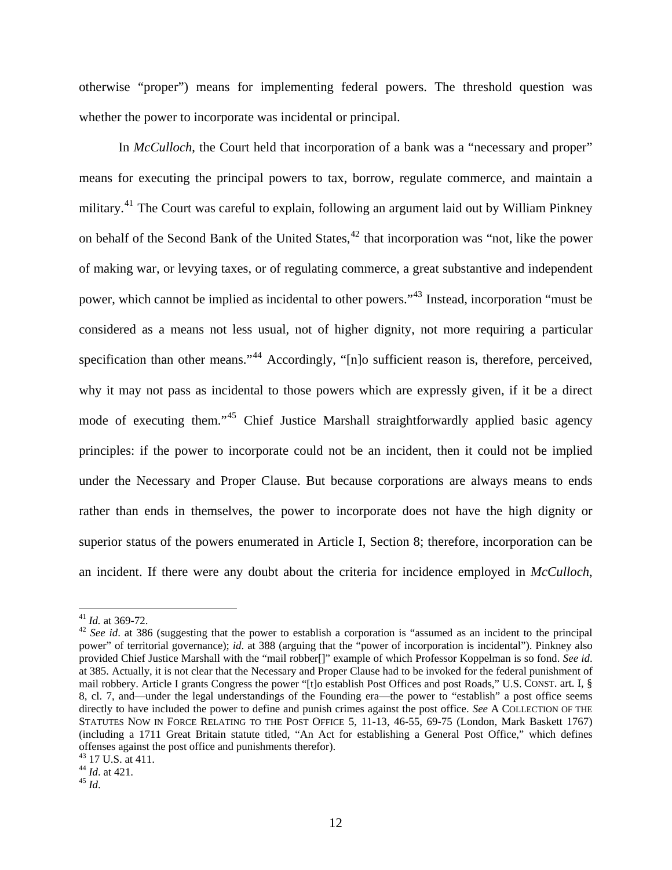otherwise "proper") means for implementing federal powers. The threshold question was whether the power to incorporate was incidental or principal.

In *McCulloch*, the Court held that incorporation of a bank was a "necessary and proper" means for executing the principal powers to tax, borrow, regulate commerce, and maintain a military.<sup>[41](#page-12-0)</sup> The Court was careful to explain, following an argument laid out by William Pinkney on behalf of the Second Bank of the United States, $42$  that incorporation was "not, like the power of making war, or levying taxes, or of regulating commerce, a great substantive and independent power, which cannot be implied as incidental to other powers."[43](#page-12-2) Instead, incorporation "must be considered as a means not less usual, not of higher dignity, not more requiring a particular specification than other means."<sup>[44](#page-12-3)</sup> Accordingly, "[n]o sufficient reason is, therefore, perceived, why it may not pass as incidental to those powers which are expressly given, if it be a direct mode of executing them."<sup>[45](#page-12-4)</sup> Chief Justice Marshall straightforwardly applied basic agency principles: if the power to incorporate could not be an incident, then it could not be implied under the Necessary and Proper Clause. But because corporations are always means to ends rather than ends in themselves, the power to incorporate does not have the high dignity or superior status of the powers enumerated in Article I, Section 8; therefore, incorporation can be an incident. If there were any doubt about the criteria for incidence employed in *McCulloch*,

<span id="page-12-1"></span><span id="page-12-0"></span><sup>&</sup>lt;sup>41</sup> *Id.* at 369-72.<br><sup>42</sup> *See id.* at 386 (suggesting that the power to establish a corporation is "assumed as an incident to the principal power" of territorial governance); *id*. at 388 (arguing that the "power of incorporation is incidental"). Pinkney also provided Chief Justice Marshall with the "mail robber[]" example of which Professor Koppelman is so fond. *See id*. at 385. Actually, it is not clear that the Necessary and Proper Clause had to be invoked for the federal punishment of mail robbery. Article I grants Congress the power "[t]o establish Post Offices and post Roads," U.S. CONST. art. I, § 8, cl. 7, and—under the legal understandings of the Founding era—the power to "establish" a post office seems directly to have included the power to define and punish crimes against the post office. *See* A COLLECTION OF THE STATUTES NOW IN FORCE RELATING TO THE POST OFFICE 5, 11-13, 46-55, 69-75 (London, Mark Baskett 1767) (including a 1711 Great Britain statute titled, "An Act for establishing a General Post Office," which defines offenses against the post office and punishments therefor).

<sup>43 17</sup> U.S. at 411.

<span id="page-12-4"></span><span id="page-12-3"></span><span id="page-12-2"></span><sup>44</sup> *Id*. at 421. 45 *Id*.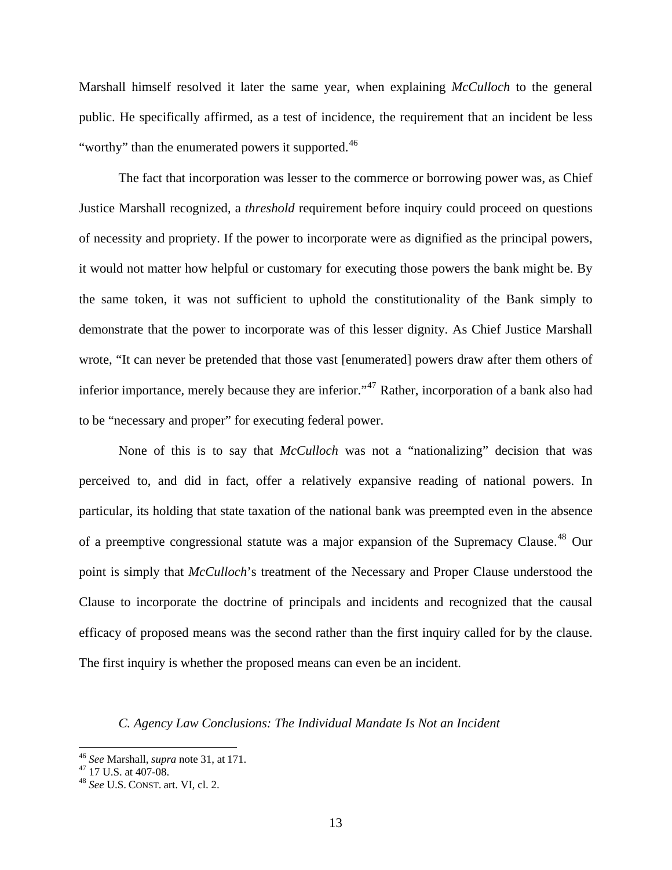Marshall himself resolved it later the same year, when explaining *McCulloch* to the general public. He specifically affirmed, as a test of incidence, the requirement that an incident be less "worthy" than the enumerated powers it supported.<sup>[46](#page-13-0)</sup>

The fact that incorporation was lesser to the commerce or borrowing power was, as Chief Justice Marshall recognized, a *threshold* requirement before inquiry could proceed on questions of necessity and propriety. If the power to incorporate were as dignified as the principal powers, it would not matter how helpful or customary for executing those powers the bank might be. By the same token, it was not sufficient to uphold the constitutionality of the Bank simply to demonstrate that the power to incorporate was of this lesser dignity. As Chief Justice Marshall wrote, "It can never be pretended that those vast [enumerated] powers draw after them others of inferior importance, merely because they are inferior."<sup>[47](#page-13-1)</sup> Rather, incorporation of a bank also had to be "necessary and proper" for executing federal power.

None of this is to say that *McCulloch* was not a "nationalizing" decision that was perceived to, and did in fact, offer a relatively expansive reading of national powers. In particular, its holding that state taxation of the national bank was preempted even in the absence of a preemptive congressional statute was a major expansion of the Supremacy Clause.[48](#page-13-2) Our point is simply that *McCulloch*'s treatment of the Necessary and Proper Clause understood the Clause to incorporate the doctrine of principals and incidents and recognized that the causal efficacy of proposed means was the second rather than the first inquiry called for by the clause. The first inquiry is whether the proposed means can even be an incident.

# *C. Agency Law Conclu sions: The Individual Mandate Is Not an Incident*

<span id="page-13-0"></span> <sup>46</sup> *See* Marshall, *supra* note 31, at 171. 47 17 U.S. at 407-08.

<span id="page-13-2"></span><span id="page-13-1"></span><sup>48</sup> *See* U.S. CONST. art. VI, cl. 2.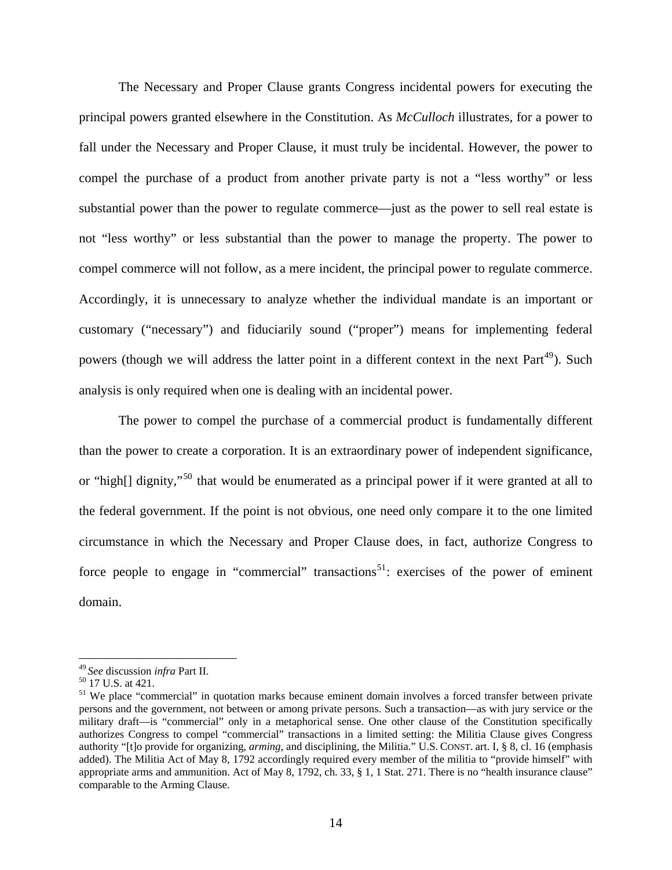The Necessary and Proper Clause grants Congress incidental powers for executing the principal powers granted elsewhere in the Constitution. As *McCulloch* illustrates, for a power to fall under the Necessary and Proper Clause, it must truly be incidental. However, the power to compel the purchase of a product from another private party is not a "less worthy" or less substantial power than the power to regulate commerce—just as the power to sell real estate is not "less worthy" or less substantial than the power to manage the property. The power to compel commerce will not follow, as a mere incident, the principal power to regulate commerce. Accordingly, it is unnecessary to analyze whether the individual mandate is an important or customary ("necessary") and fiduciarily sound ("proper") means for implementing federal powers (though we will address the latter point in a different context in the next Part<sup>[49](#page-14-0)</sup>). Such analysis is only required when one is dealing with an incidental power.

The power to compel the purchase of a commercial product is fundamentally different than the power to create a corporation. It is an extraordinary power of independent significance, or "high[] dignity,"[50](#page-14-1) that would be enumerated as a principal power if it were granted at all to the federal government. If the point is not obvious, one need only compare it to the one limited circumstance in which the Necessary and Proper Clause does, in fact, authorize Congress to force people to engage in "commercial" transactions<sup>[51](#page-14-2)</sup>: exercises of the power of eminent domain.

<span id="page-14-0"></span><sup>49</sup>*See* discussion *infra* Part II. 50 17 U.S. at 421.

<span id="page-14-1"></span>

<span id="page-14-2"></span><sup>&</sup>lt;sup>51</sup> We place "commercial" in quotation marks because eminent domain involves a forced transfer between private persons and the government, not between or among private persons. Such a transaction—as with jury service or the military draft—is "commercial" only in a metaphorical sense. One other clause of the Constitution specifically authorizes Congress to compel "commercial" transactions in a limited setting: the Militia Clause gives Congress authority "[t]o provide for organizing, *arming*, and disciplining, the Militia." U.S. CONST. art. I, § 8, cl. 16 (emphasis added). The Militia Act of May 8, 1792 accordingly required every member of the militia to "provide himself" with appropriate arms and ammunition. Act of May 8, 1792, ch. 33, § 1, 1 Stat. 271. There is no "health insurance clause" comparable to the Arming Clause.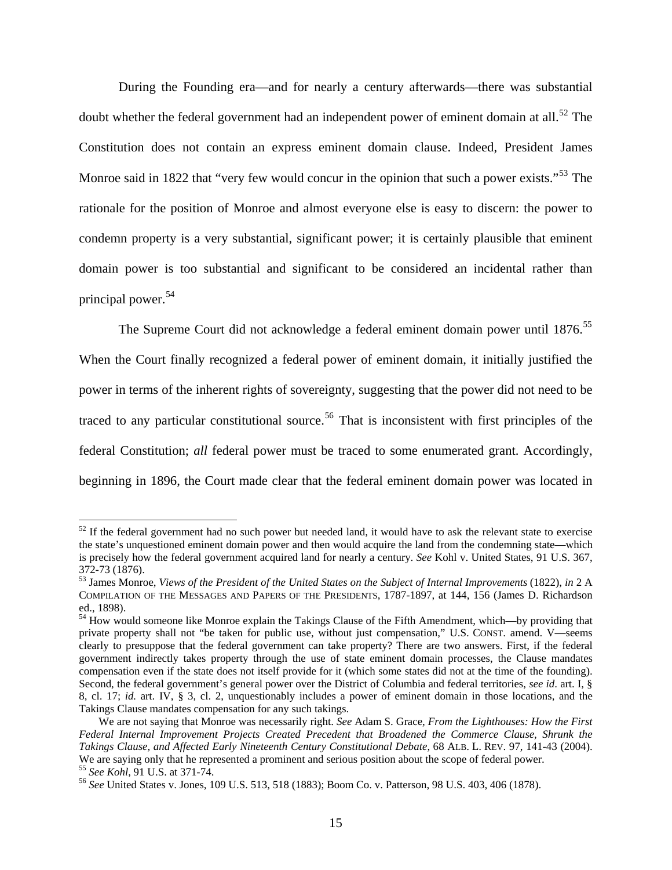During the Founding era—and for nearly a century afterwards—there was substantial doubt whether the federal government had an independent power of eminent domain at all.<sup>[52](#page-15-0)</sup> The Constitution does not contain an express eminent domain clause. Indeed, President James Monroe said in 1822 that "very few would concur in the opinion that such a power exists."<sup>[53](#page-15-1)</sup> The rationale for the position of Monroe and almost everyone else is easy to discern: the power to condemn property is a very substantial, significant power; it is certainly plausible that eminent domain power is too substantial and significant to be considered an incidental rather than principal power.<sup>[54](#page-15-2)</sup>

The Supreme Court did not acknowledge a federal eminent domain power until 1876.<sup>[55](#page-15-3)</sup> When the Court finally recognized a federal power of eminent domain, it initially justified the power in terms of the inherent rights of sovereignty, suggesting that the power did not need to be traced to any particular constitutional source.<sup>[56](#page-15-4)</sup> That is inconsistent with first principles of the federal Constitution; *all* federal power must be traced to some enumerated grant. Accordingly, beginning in 1896, the Court made clear that the federal eminent domain power was located in

<span id="page-15-0"></span> $52$  If the federal government had no such power but needed land, it would have to ask the relevant state to exercise the state's unquestioned eminent domain power and then would acquire the land from the condemning state—which is precisely how the federal government acquired land for nearly a century. *See* Kohl v. United States, 91 U.S. 367, 372-73 (1876).

<span id="page-15-1"></span><sup>53</sup> James Monroe, *Views of the President of the United States on the Subject of Internal Improvements* (1822), *in* 2 A COMPILATION OF THE MESSAGES AND PAPERS OF THE PRESIDENTS, 1787-1897, at 144, 156 (James D. Richardson ed., 1898).

<span id="page-15-2"></span><sup>&</sup>lt;sup>54</sup> How would someone like Monroe explain the Takings Clause of the Fifth Amendment, which—by providing that private property shall not "be taken for public use, without just compensation," U.S. CONST. amend. V—seems clearly to presuppose that the federal government can take property? There are two answers. First, if the federal government indirectly takes property through the use of state eminent domain processes, the Clause mandates compensation even if the state does not itself provide for it (which some states did not at the time of the founding). Second, the federal government's general power over the District of Columbia and federal territories, *see id*. art. I, § 8, cl. 17; *id.* art. IV, § 3, cl. 2, unquestionably includes a power of eminent domain in those locations, and the Takings Clause mandates compensation for any such takings.

We are not saying that Monroe was necessarily right. *See* Adam S. Grace, *From the Lighthouses: How the First Federal Internal Improvement Projects Created Precedent that Broadened the Commerce Clause, Shrunk the Takings Clause, and Affected Early Nineteenth Century Constitutional Debate*, 68 ALB. L. REV. 97, 141-43 (2004). We are saying only that he represented a prominent and serious position about the scope of federal power. <sup>55</sup> See Kohl, 91 U.S. at 371-74.<br><sup>56</sup> See United States v. Jones, 109 U.S. 513, 518 (1883); Boom Co. v. Patterson, 98 U.S. 403, 406 (1878).

<span id="page-15-4"></span><span id="page-15-3"></span>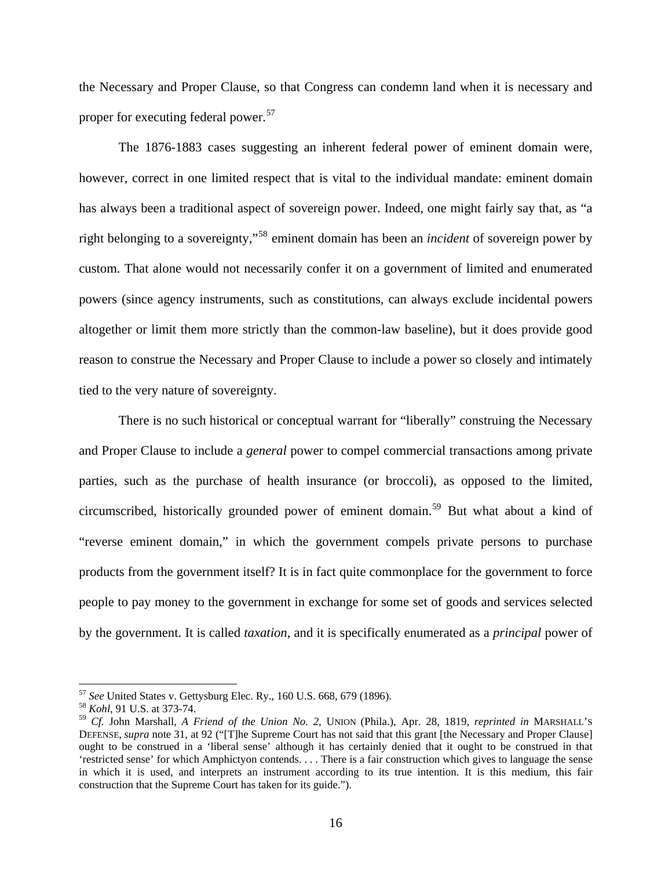the Necessary and Proper Clause, so that Congress can condemn land when it is necessary and proper for executing federal power.<sup>[57](#page-16-0)</sup>

The 1876-1883 cases suggesting an inherent federal power of eminent domain were, however, correct in one limited respect that is vital to the individual mandate: eminent domain has always been a traditional aspect of sovereign power. Indeed, one might fairly say that, as "a right belonging to a sovereignty,"[58](#page-16-1) eminent domain has been an *incident* of sovereign power by custom. That alone would not necessarily confer it on a government of limited and enumerated powers (since agency instruments, such as constitutions, can always exclude incidental powers altogether or limit them more strictly than the common-law baseline), but it does provide good reason to construe the Necessary and Proper Clause to include a power so closely and intimately tied to the very nature of sovereignty.

There is no such historical or conceptual warrant for "liberally" construing the Necessary and Proper Clause to include a *general* power to compel commercial transactions among private parties, such as the purchase of health insurance (or broccoli), as opposed to the limited, circumscribed, historically grounded power of eminent domain.<sup>[59](#page-16-2)</sup> But what about a kind of "reverse eminent domain," in which the government compels private persons to purchase products from the government itself? It is in fact quite commonplace for the government to force people to pay money to the government in exchange for some set of goods and services selected by the government. It is called *taxation*, and it is specifically enumerated as a *principal* power of

<span id="page-16-0"></span><sup>57</sup> *See* United States v. Gettysburg Elec. Ry., 160 U.S. 668, 679 (1896). 58 *Kohl*, 91 U.S. at 373-74.

<span id="page-16-2"></span><span id="page-16-1"></span><sup>59</sup> *Cf.* John Marshall, *A Friend of the Union No. 2*, UNION (Phila.), Apr. 28, 1819, *reprinted in* MARSHALL'S DEFENSE, *supra* note 31, at 92 ("[T]he Supreme Court has not said that this grant [the Necessary and Proper Clause] ought to be construed in a 'liberal sense' although it has certainly denied that it ought to be construed in that 'restricted sense' for which Amphictyon contends. . . . There is a fair construction which gives to language the sense in which it is used, and interprets an instrument according to its true intention. It is this medium, this fair construction that the Supreme Court has taken for its guide.").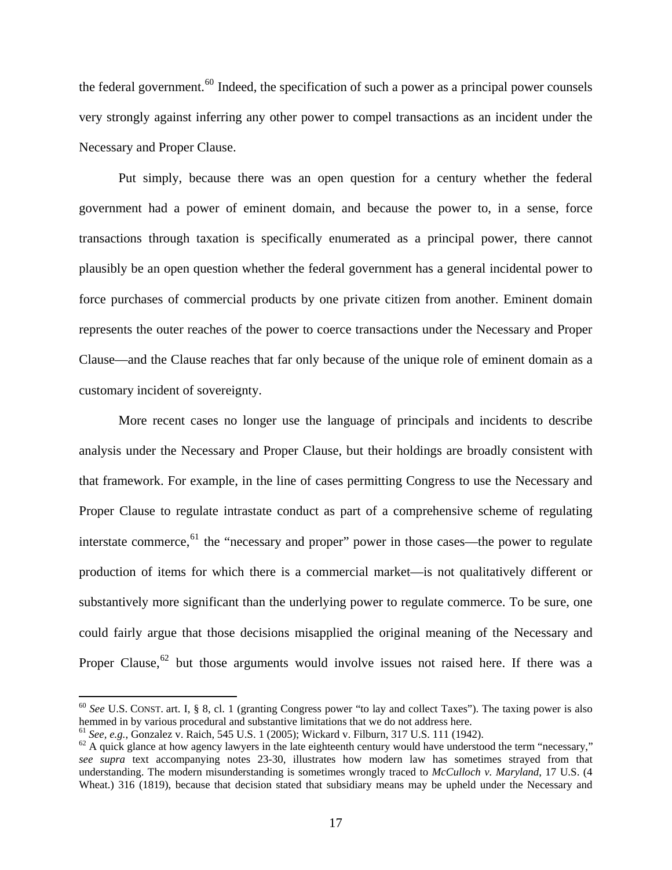the federal government.<sup>[60](#page-17-0)</sup> Indeed, the specification of such a power as a principal power counsels very strongly against inferring any other power to compel transactions as an incident under the Necessary and Proper Clause.

Put simply, because there was an open question for a century whether the federal government had a power of eminent domain, and because the power to, in a sense, force transactions through taxation is specifically enumerated as a principal power, there cannot plausibly be an open question whether the federal government has a general incidental power to force purchases of commercial products by one private citizen from another. Eminent domain represents the outer reaches of the power to coerce transactions under the Necessary and Proper Clause—and the Clause reaches that far only because of the unique role of eminent domain as a customary incident of sovereignty.

More recent cases no longer use the language of principals and incidents to describe analysis under the Necessary and Proper Clause, but their holdings are broadly consistent with that framework. For example, in the line of cases permitting Congress to use the Necessary and Proper Clause to regulate intrastate conduct as part of a comprehensive scheme of regulating interstate commerce,  $61$  the "necessary and proper" power in those cases—the power to regulate production of items for which there is a commercial market—is not qualitatively different or substantively more significant than the underlying power to regulate commerce. To be sure, one could fairly argue that those decisions misapplied the original meaning of the Necessary and Proper Clause,  $62$  but those arguments would involve issues not raised here. If there was a

<span id="page-17-0"></span><sup>60</sup> *See* U.S. CONST. art. I, § 8, cl. 1 (granting Congress power "to lay and collect Taxes"). The taxing power is also hemmed in by various procedural and substantive limitations that we do not address here.

<span id="page-17-1"></span>

<sup>&</sup>lt;sup>61</sup> *See, e.g.*, Gonzalez v. Raich, 545 U.S. 1 (2005); Wickard v. Filburn, 317 U.S. 111 (1942).<br><sup>62</sup> A quick glance at how agency lawyers in the late eighteenth century would have understood the term "necessary," *see supra* text accompanying notes 23-30, illustrates how modern law has sometimes strayed from that understanding. The modern misunderstanding is sometimes wrongly traced to *McCulloch v. Maryland*, 17 U.S. (4 Wheat.) 316 (1819), because that decision stated that subsidiary means may be upheld under the Necessary and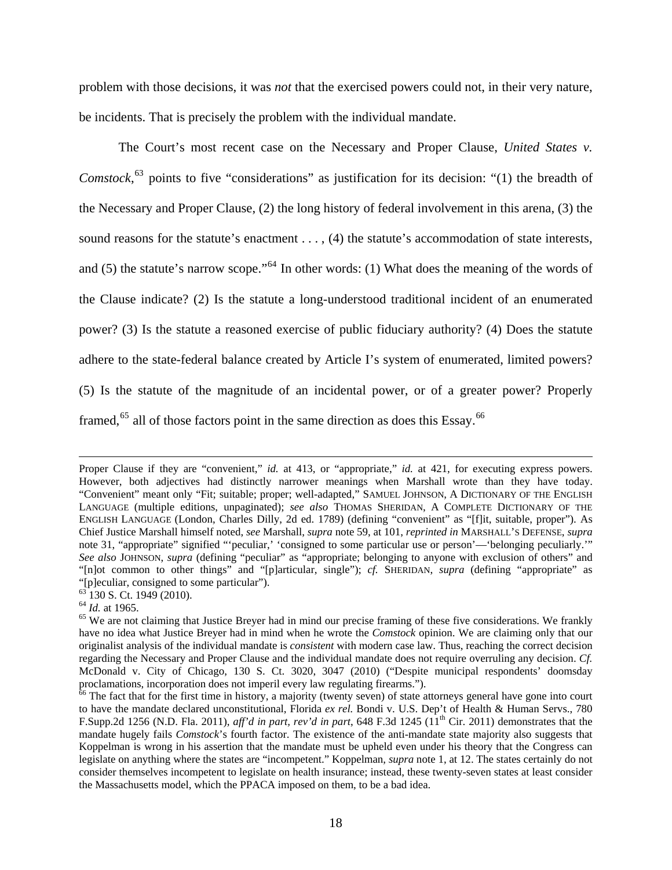problem with those decisions, it was *not* that the exercised powers could not, in their very nature, be incidents. That is precisely the problem with the individual mandate.

The Court's most recent case on the Necessary and Proper Clause, *United States v. Comstock*, [63](#page-18-0) points to five "considerations" as justification for its decision: "(1) the breadth of the Necessary and Proper Clause, (2) the long history of federal involvement in this arena, (3) the sound reasons for the statute's enactment . . . , (4) the statute's accommodation of state interests, and (5) the statute's narrow scope."[64](#page-18-1) In other words: (1) What does the meaning of the words of the Clause indicate? (2) Is the statute a long-understood traditional incident of an enumerated power? (3) Is the statute a reasoned exercise of public fiduciary authority? (4) Does the statute adhere to the state-federal balance created by Article I's system of enumerated, limited powers? (5) Is the statute of the magnitude of an incidental power, or of a greater power? Properly framed,  $65$  all of those factors point in the same direction as does this Essay.  $66$ 

<u> 1989 - Andrea Santa Andrea Andrea Andrea Andrea Andrea Andrea Andrea Andrea Andrea Andrea Andrea Andrea Andr</u>

Proper Clause if they are "convenient," *id.* at 413, or "appropriate," *id.* at 421, for executing express powers. However, both adjectives had distinctly narrower meanings when Marshall wrote than they have today. "Convenient" meant only "Fit; suitable; proper; well-adapted," SAMUEL JOHNSON, A DICTIONARY OF THE ENGLISH LANGUAGE (multiple editions, unpaginated); *see also* THOMAS SHERIDAN, A COMPLETE DICTIONARY OF THE ENGLISH LANGUAGE (London, Charles Dilly, 2d ed. 1789) (defining "convenient" as "[f]it, suitable, proper"). As Chief Justice Marshall himself noted, *see* Marshall, *supra* note 59, at 101, *reprinted in* MARSHALL'S DEFENSE, *supra* note 31, "appropriate" signified "'peculiar,' 'consigned to some particular use or person'—'belonging peculiarly.'" *See also* JOHNSON, *supra* (defining "peculiar" as "appropriate; belonging to anyone with exclusion of others" and "[n]ot common to other things" and "[p]articular, single"); *cf.* SHERIDAN, *supra* (defining "appropriate" as "[p]eculiar, consigned to some particular").

<span id="page-18-1"></span><span id="page-18-0"></span> $^{63}$  130 S. Ct. 1949 (2010).<br> $^{64}$  *Id.* at 1965.

<sup>&</sup>lt;sup>65</sup> We are not claiming that Justice Breyer had in mind our precise framing of these five considerations. We frankly have no idea what Justice Breyer had in mind when he wrote the *Comstock* opinion. We are claiming only that our originalist analysis of the individual mandate is *consistent* with modern case law. Thus, reaching the correct decision regarding the Necessary and Proper Clause and the individual mandate does not require overruling any decision. *Cf.*  McDonald v. City of Chicago, 130 S. Ct. 3020, 3047 (2010) ("Despite municipal respondents' doomsday proclamations, incorporation does not imperil every law regulating firearms.").

<sup>&</sup>lt;sup>66</sup> The fact that for the first time in history, a majority (twenty seven) of state attorneys general have gone into court to have the mandate declared unconstitutional, Florida *ex rel.* Bondi v. U.S. Dep't of Health & Human Servs., 780 F.Supp.2d 1256 (N.D. Fla. 2011), *aff'd in part, rev'd in part*, 648 F.3d 1245 ( $11<sup>th</sup>$  Cir. 2011) demonstrates that the mandate hugely fails *Comstock*'s fourth factor. The existence of the anti-mandate state majority also suggests that Koppelman is wrong in his assertion that the mandate must be upheld even under his theory that the Congress can legislate on anything where the states are "incompetent." Koppelman, *supra* note 1, at 12. The states certainly do not consider themselves incompetent to legislate on health insurance; instead, these twenty-seven states at least consider the Massachusetts model, which the PPACA imposed on them, to be a bad idea.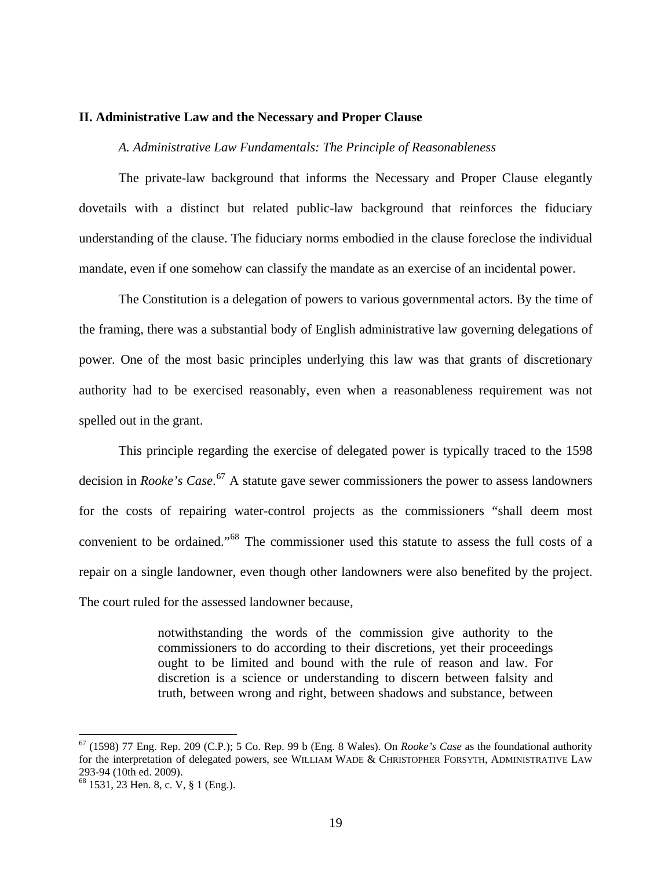#### **II. Administrative Law and the Necessary and Proper Clause**

### *A. Administrative Law Fundamentals: The Principle of Reasonableness*

The private-law background that informs the Necessary and Proper Clause elegantly dovetails with a distinct but related public-law background that reinforces the fiduciary understanding of the clause. The fiduciary norms embodied in the clause foreclose the individual mandate, even if one somehow can classify the mandate as an exercise of an incidental power.

The Constitution is a delegation of powers to various governmental actors. By the time of the framing, there was a substantial body of English administrative law governing delegations of power. One of the most basic principles underlying this law was that grants of discretionary authority had to be exercised reasonably, even when a reasonableness requirement was not spelled out in the grant.

This principle regarding the exercise of delegated power is typically traced to the 1598 decision in *Rooke's Case*. [67](#page-19-0) A statute gave sewer commissioners the power to assess landowners for the costs of repairing water-control projects as the commissioners "shall deem most convenient to be ordained."[68](#page-19-1) The commissioner used this statute to assess the full costs of a repair on a single landowner, even though other landowners were also benefited by the project. The court ruled for the assessed landowner because,

> notwithstanding the words of the commission give authority to the commissioners to do according to their discretions, yet their proceedings ought to be limited and bound with the rule of reason and law. For discretion is a science or understanding to discern between falsity and truth, between wrong and right, between shadows and substance, between

<span id="page-19-0"></span><sup>67 (1598) 77</sup> Eng. Rep. 209 (C.P.); 5 Co. Rep. 99 b (Eng. 8 Wales). On *Rooke's Case* as the foundational authority for the interpretation of delegated powers, see WILLIAM WADE & CHRISTOPHER FORSYTH, ADMINISTRATIVE LAW 293-94 (10th ed. 2009).

<span id="page-19-1"></span><sup>68 1531, 23</sup> Hen. 8, c. V, § 1 (Eng.).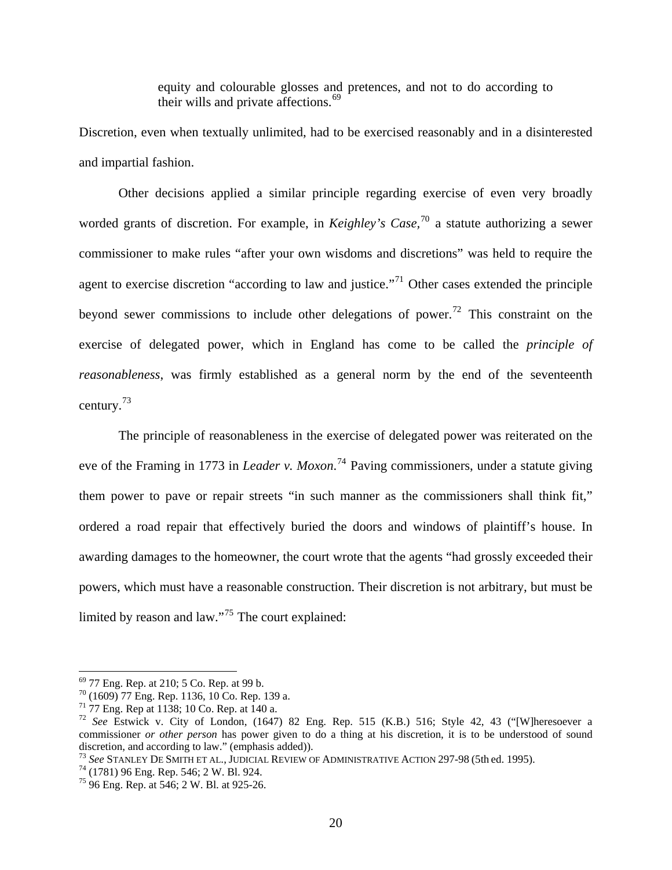equity and colourable glosses and pretences, and not to do according to their wills and private affections.<sup>[69](#page-20-0)</sup>

Discretion, even when textually unlimited, had to be exercised reasonably and in a disinterested and impartial fashion.

Other decisions applied a similar principle regarding exercise of even very broadly worded grants of discretion. For example, in *Keighley's Case,*[70](#page-20-1) a statute authorizing a sewer commissioner to make rules "after your own wisdoms and discretions" was held to require the agent to exercise discretion "according to law and justice."<sup>[71](#page-20-2)</sup> Other cases extended the principle beyond sewer commissions to include other delegations of power.<sup>[72](#page-20-3)</sup> This constraint on the exercise of delegated power, which in England has come to be called the *principle of reasonableness*, was firmly established as a general norm by the end of the seventeenth century.[73](#page-20-4)

The principle of reasonableness in the exercise of delegated power was reiterated on the eve of the Framing in 1773 in *Leader v. Moxon*. [74](#page-20-5) Paving commissioners, under a statute giving them power to pave or repair streets "in such manner as the commissioners shall think fit," ordered a road repair that effectively buried the doors and windows of plaintiff's house. In awarding damages to the homeowner, the court wrote that the agents "had grossly exceeded their powers, which must have a reasonable construction. Their discretion is not arbitrary, but must be limited by reason and law."[75](#page-20-6) The court explained:

<span id="page-20-0"></span><sup>69 77</sup> Eng. Rep. at 210; 5 Co. Rep. at 99 b.

<span id="page-20-1"></span><sup>70 (1609) 77</sup> Eng. Rep. 1136, 10 Co. Rep. 139 a.

<span id="page-20-2"></span><sup>71 77</sup> Eng. Rep at 1138; 10 Co. Rep. at 140 a.

<span id="page-20-3"></span><sup>72</sup> *See* Estwick v. City of London, (1647) 82 Eng. Rep. 515 (K.B.) 516; Style 42, 43 ("[W]heresoever a commissioner *or other person* has power given to do a thing at his discretion, it is to be understood of sound discretion, and according to law." (emphasis added)).

<span id="page-20-4"></span><sup>&</sup>lt;sup>73</sup> *See STANLEY DE SMITH ET AL., JUDICIAL REVIEW OF ADMINISTRATIVE ACTION 297-98 (5th ed. 1995).*  $^{74}$  (1781) 96 Eng. Rep. 546; 2 W. Bl. 924.

<span id="page-20-6"></span><span id="page-20-5"></span><sup>75 96</sup> Eng. Rep. at 546; 2 W. Bl. at 925-26.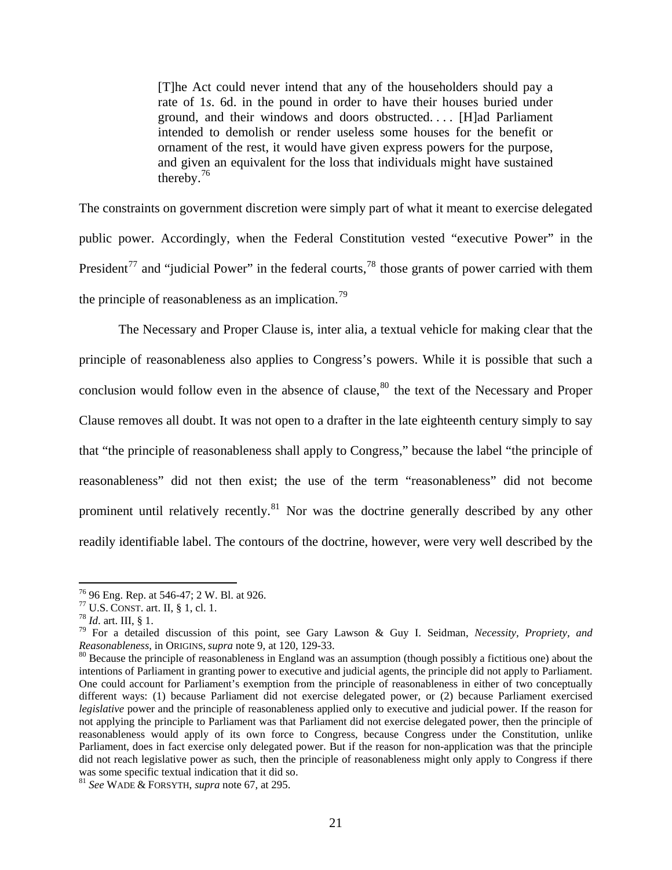[T]he Act could never intend that any of the householders should pay a rate of 1*s*. 6d. in the pound in order to have their houses buried under ground, and their windows and doors obstructed. . . . [H]ad Parliament intended to demolish or render useless some houses for the benefit or ornament of the rest, it would have given express powers for the purpose, and given an equivalent for the loss that individuals might have sustained thereby.[76](#page-21-0)

The constraints on government discretion were simply part of what it meant to exercise delegated public power. Accordingly, when the Federal Constitution vested "executive Power" in the President<sup>[77](#page-21-1)</sup> and "judicial Power" in the federal courts,<sup>[78](#page-21-2)</sup> those grants of power carried with them the principle of reasonableness as an implication.<sup>[79](#page-21-3)</sup>

The Necessary and Proper Clause is, inter alia, a textual vehicle for making clear that the principle of reasonableness also applies to Congress's powers. While it is possible that such a conclusion would follow even in the absence of clause, $80$  the text of the Necessary and Proper Clause removes all doubt. It was not open to a drafter in the late eighteenth century simply to say that "the principle of reasonableness shall apply to Congress," because the label "the principle of reasonableness" did not then exist; the use of the term "reasonableness" did not become prominent until relatively recently.<sup>[81](#page-21-5)</sup> Nor was the doctrine generally described by any other readily identifiable label. The contours of the doctrine, however, were very well described by the

<span id="page-21-0"></span><sup>&</sup>lt;sup>76</sup> 96 Eng. Rep. at 546-47; 2 W. Bl. at 926.<br><sup>77</sup> U.S. CONST. art. II, § 1, cl. 1.

<span id="page-21-3"></span><span id="page-21-2"></span><span id="page-21-1"></span><sup>&</sup>lt;sup>78</sup> *Id.* art. III, § 1.<br><sup>79</sup> For a detailed discussion of this point, see Gary Lawson & Guy I. Seidman, *Necessity, Propriety, and Reasonableness*, in ORIGINS, *supra* note 9, at 120, 129-33.<br><sup>80</sup> Because the principle of reasonableness in England was an assumption (though possibly a fictitious one) about the

<span id="page-21-4"></span>intentions of Parliament in granting power to executive and judicial agents, the principle did not apply to Parliament. One could account for Parliament's exemption from the principle of reasonableness in either of two conceptually different ways: (1) because Parliament did not exercise delegated power, or (2) because Parliament exercised *legislative* power and the principle of reasonableness applied only to executive and judicial power. If the reason for not applying the principle to Parliament was that Parliament did not exercise delegated power, then the principle of reasonableness would apply of its own force to Congress, because Congress under the Constitution, unlike Parliament, does in fact exercise only delegated power. But if the reason for non-application was that the principle did not reach legislative power as such, then the principle of reasonableness might only apply to Congress if there was some specific textual indication that it did so.

<span id="page-21-5"></span><sup>81</sup> *See* WADE & FORSYTH, *supra* note 67, at 295.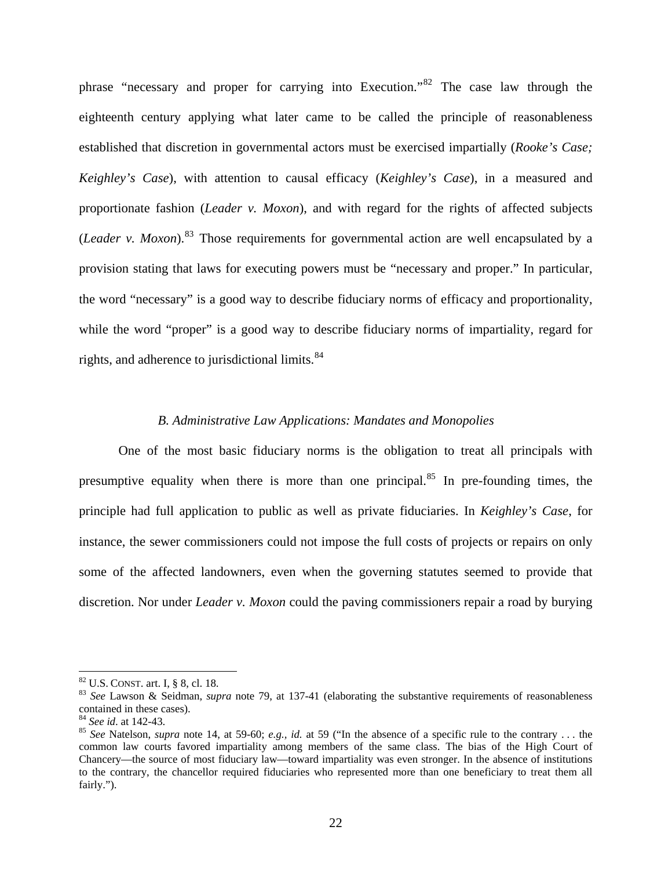phrase "necessary and proper for carrying into Execution."[82](#page-22-0) The case law through the eighteenth century applying what later came to be called the principle of reasonableness established that discretion in governmental actors must be exercised impartially (*Rooke's Case; Keighley's Case*), with attention to causal efficacy (*Keighley's Case*), in a measured and proportionate fashion (*Leader v. Moxon*), and with regard for the rights of affected subjects (*Leader v. Moxon*).[83](#page-22-1) Those requirements for governmental action are well encapsulated by a provision stating that laws for executing powers must be "necessary and proper." In particular, the word "necessary" is a good way to describe fiduciary norms of efficacy and proportionality, while the word "proper" is a good way to describe fiduciary norms of impartiality, regard for rights, and adherence to jurisdictional limits.<sup>84</sup>

### *B. Administrative Law Applications: Mandates and Monopolies*

One of the most basic fiduciary norms is the obligation to treat all principals with presumptive equality when there is more than one principal. $85$  In pre-founding times, the principle had full application to public as well as private fiduciaries. In *Keighley's Case*, for instance, the sewer commissioners could not impose the full costs of projects or repairs on only some of the affected landowners, even when the governing statutes seemed to provide that discretion. Nor under *Leader v. Moxon* could the paving commissioners repair a road by burying

<span id="page-22-1"></span><span id="page-22-0"></span><sup>&</sup>lt;sup>82</sup> U.S. CONST. art. I, § 8, cl. 18.<br><sup>83</sup> *See* Lawson & Seidman, *supra* note 79, at 137-41 (elaborating the substantive requirements of reasonableness contained in these cases).<br><sup>84</sup> See id. at 142-43.

<span id="page-22-2"></span><sup>&</sup>lt;sup>85</sup> *See* Natelson, *supra* note 14, at 59-60; *e.g., id.* at 59 ("In the absence of a specific rule to the contrary ... the common law courts favored impartiality among members of the same class. The bias of the High Court of Chancery—the source of most fiduciary law—toward impartiality was even stronger. In the absence of institutions to the contrary, the chancellor required fiduciaries who represented more than one beneficiary to treat them all fairly.").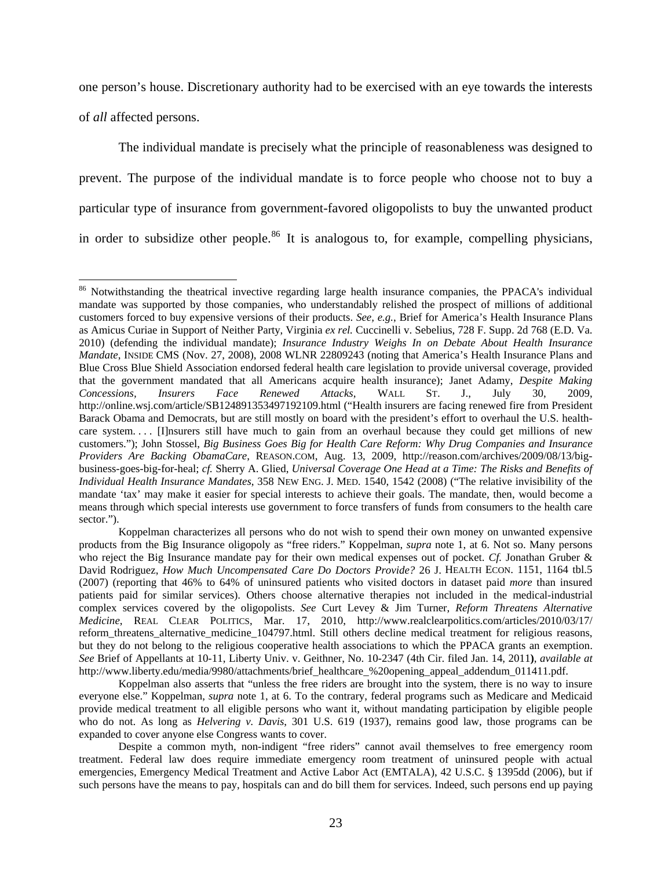one person's house. Discretionary authority had to be exercised with an eye towards the interests of *all* affected persons.

The individual mandate is precisely what the principle of reasonableness was designed to prevent. The purpose of the individual mandate is to force people who choose not to buy a particular type of insurance from government-favored oligopolists to buy the unwanted product in order to subsidize other people.<sup>[86](#page-23-0)</sup> It is analogous to, for example, compelling physicians,

<span id="page-23-0"></span><sup>&</sup>lt;sup>86</sup> Notwithstanding the theatrical invective regarding large health insurance companies, the PPACA's individual mandate was supported by those companies, who understandably relished the prospect of millions of additional customers forced to buy expensive versions of their products. *See, e.g.*, Brief for America's Health Insurance Plans as Amicus Curiae in Support of Neither Party, Virginia *ex rel.* Cuccinelli v. Sebelius, 728 F. Supp. 2d 768 (E.D. Va. 2010) (defending the individual mandate); *Insurance Industry Weighs In on Debate About Health Insurance Mandate*, INSIDE CMS (Nov. 27, 2008), 2008 WLNR 22809243 (noting that America's Health Insurance Plans and Blue Cross Blue Shield Association endorsed federal health care legislation to provide universal coverage, provided that the government mandated that all Americans acquire health insurance); Janet Adamy, *Despite Making Concessions, Insurers Face Renewed Attacks*, WALL ST. J., July 30, 2009, http://online.wsj.com/article/SB124891353497192109.html ("Health insurers are facing renewed fire from President Barack Obama and Democrats, but are still mostly on board with the president's effort to overhaul the U.S. healthcare system. . . . [I]nsurers still have much to gain from an overhaul because they could get millions of new customers."); John Stossel, *Big Business Goes Big for Health Care Reform: Why Drug Companies and Insurance Providers Are Backing ObamaCare*, REASON.COM, Aug. 13, 2009, http://reason.com/archives/2009/08/13/bigbusiness-goes-big-for-heal; *cf.* Sherry A. Glied, *Universal Coverage One Head at a Time: The Risks and Benefits of Individual Health Insurance Mandates*, 358 NEW ENG. J. MED. 1540, 1542 (2008) ("The relative invisibility of the mandate 'tax' may make it easier for special interests to achieve their goals. The mandate, then, would become a means through which special interests use government to force transfers of funds from consumers to the health care sector.").

Koppelman characterizes all persons who do not wish to spend their own money on unwanted expensive products from the Big Insurance oligopoly as "free riders." Koppelman, *supra* note 1, at 6. Not so. Many persons who reject the Big Insurance mandate pay for their own medical expenses out of pocket. *Cf.* Jonathan Gruber & David Rodriguez, *How Much Uncompensated Care Do Doctors Provide?* 26 J. HEALTH ECON. 1151, 1164 tbl.5 (2007) (reporting that 46% to 64% of uninsured patients who visited doctors in dataset paid *more* than insured patients paid for similar services). Others choose alternative therapies not included in the medical-industrial complex services covered by the oligopolists. *See* Curt Levey & Jim Turner, *Reform Threatens Alternative Medicine*, REAL CLEAR POLITICS, Mar. 17, 2010, http://www.realclearpolitics.com/articles/2010/03/17/ reform\_threatens\_alternative\_medicine\_104797.html. Still others decline medical treatment for religious reasons, but they do not belong to the religious cooperative health associations to which the PPACA grants an exemption. *See* Brief of Appellants at 10-11, Liberty Univ. v. Geithner, No. 10-2347 (4th Cir. filed Jan. 14, 2011**)**, *available at*  http://www.liberty.edu/media/9980/attachments/brief\_healthcare\_%20opening\_appeal\_addendum\_011411.pdf.

Koppelman also asserts that "unless the free riders are brought into the system, there is no way to insure everyone else." Koppelman, *supra* note 1, at 6. To the contrary, federal programs such as Medicare and Medicaid provide medical treatment to all eligible persons who want it, without mandating participation by eligible people who do not. As long as *Helvering v. Davis*, 301 U.S. 619 (1937), remains good law, those programs can be expanded to cover anyone else Congress wants to cover.

Despite a common myth, non-indigent "free riders" cannot avail themselves to free emergency room treatment. Federal law does require immediate emergency room treatment of uninsured people with actual emergencies, Emergency Medical Treatment and Active Labor Act (EMTALA), 42 U.S.C. § 1395dd (2006), but if such persons have the means to pay, hospitals can and do bill them for services. Indeed, such persons end up paying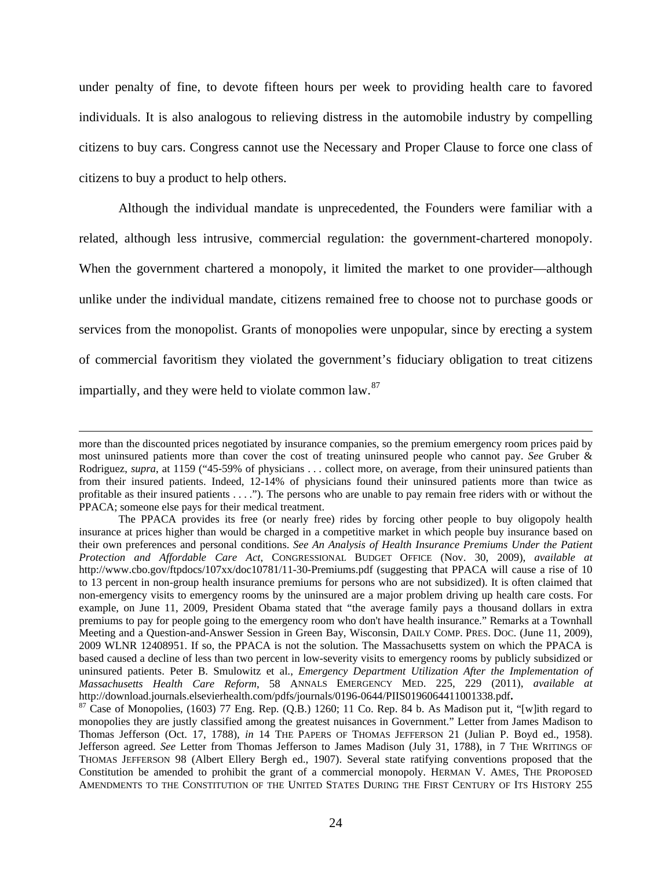under penalty of fine, to devote fifteen hours per week to providing health care to favored individuals. It is also analogous to relieving distress in the automobile industry by compelling citizens to buy cars. Congress cannot use the Necessary and Proper Clause to force one class of citizens to buy a product to help others.

Although the individual mandate is unprecedented, the Founders were familiar with a related, although less intrusive, commercial regulation: the government-chartered monopoly. When the government chartered a monopoly, it limited the market to one provider—although unlike under the individual mandate, citizens remained free to choose not to purchase goods or services from the monopolist. Grants of monopolies were unpopular, since by erecting a system of commercial favoritism they violated the government's fiduciary obligation to treat citizens impartially, and they were held to violate common law.<sup>[87](#page-24-0)</sup>

<u> 1989 - Andrea Santa Andrea Andrea Andrea Andrea Andrea Andrea Andrea Andrea Andrea Andrea Andrea Andrea Andr</u>

more than the discounted prices negotiated by insurance companies, so the premium emergency room prices paid by most uninsured patients more than cover the cost of treating uninsured people who cannot pay. *See* Gruber & Rodriguez, *supra*, at 1159 ("45-59% of physicians . . . collect more, on average, from their uninsured patients than from their insured patients. Indeed, 12-14% of physicians found their uninsured patients more than twice as profitable as their insured patients . . . ."). The persons who are unable to pay remain free riders with or without the PPACA; someone else pays for their medical treatment.

The PPACA provides its free (or nearly free) rides by forcing other people to buy oligopoly health insurance at prices higher than would be charged in a competitive market in which people buy insurance based on their own preferences and personal conditions. *See An Analysis of Health Insurance Premiums Under the Patient Protection and Affordable Care Act*, CONGRESSIONAL BUDGET OFFICE (Nov. 30, 2009), *available at* http://www.cbo.gov/ftpdocs/107xx/doc10781/11-30-Premiums.pdf (suggesting that PPACA will cause a rise of 10 to 13 percent in non-group health insurance premiums for persons who are not subsidized). It is often claimed that non-emergency visits to emergency rooms by the uninsured are a major problem driving up health care costs. For example, on June 11, 2009, President Obama stated that "the average family pays a thousand dollars in extra premiums to pay for people going to the emergency room who don't have health insurance." Remarks at a Townhall Meeting and a Question-and-Answer Session in Green Bay, Wisconsin, DAILY COMP. PRES. DOC. (June 11, 2009), 2009 WLNR 12408951. If so, the PPACA is not the solution. The Massachusetts system on which the PPACA is based caused a decline of less than two percent in low-severity visits to emergency rooms by publicly subsidized or uninsured patients. Peter B. Smulowitz et al., *Emergency Department Utilization After the Implementation of Massachusetts Health Care Reform*, 58 ANNALS EMERGENCY MED. 225, 229 (2011), *available at* http://download.journals.elsevierhealth.com/pdfs/journals/0196-0644/PIIS0196064411001338.pdf**.** 87 Case of Monopolies, (1603) 77 Eng. Rep. (Q.B.) 1260; 11 Co. Rep. 84 b. As Madison put it, "[w]ith regard to

<span id="page-24-0"></span>monopolies they are justly classified among the greatest nuisances in Government." Letter from James Madison to Thomas Jefferson (Oct. 17, 1788), *in* 14 THE PAPERS OF THOMAS JEFFERSON 21 (Julian P. Boyd ed., 1958). Jefferson agreed. *See* Letter from Thomas Jefferson to James Madison (July 31, 1788), in 7 THE WRITINGS OF THOMAS JEFFERSON 98 (Albert Ellery Bergh ed., 1907). Several state ratifying conventions proposed that the Constitution be amended to prohibit the grant of a commercial monopoly. HERMAN V. AMES, THE PROPOSED AMENDMENTS TO THE CONSTITUTION OF THE UNITED STATES DURING THE FIRST CENTURY OF ITS HISTORY 255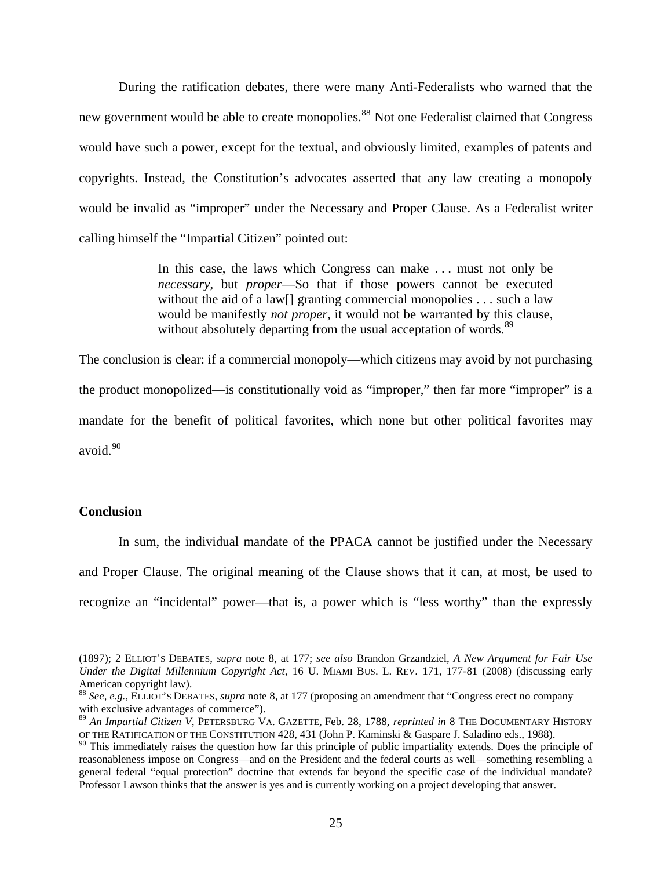During the ratification debates, there were many Anti-Federalists who warned that the new government would be able to create monopolies.<sup>[88](#page-25-0)</sup> Not one Federalist claimed that Congress would have such a power, except for the textual, and obviously limited, examples of patents and copyrights. Instead, the Constitution's advocates asserted that any law creating a monopoly would be invalid as "improper" under the Necessary and Proper Clause. As a Federalist writer calling himself the "Impartial Citizen" pointed out:

> In this case, the laws which Congress can make . . . must not only be *necessary*, but *proper*—So that if those powers cannot be executed without the aid of a law<sup>[]</sup> granting commercial monopolies . . . such a law would be manifestly *not proper*, it would not be warranted by this clause, without absolutely departing from the usual acceptation of words.<sup>[89](#page-25-1)</sup>

The conclusion is clear: if a commercial monopoly—which citizens may avoid by not purchasing the product monopolized—is constitutionally void as "improper," then far more "improper" is a mandate for the benefit of political favorites, which none but other political favorites may avoid. $90$ 

## **Conclusion**

In sum, the individual mandate of the PPACA cannot be justified under the Necessary and Proper Clause. The original meaning of the Clause shows that it can, at most, be used to recognize an "incidental" power—that is, a power which is "less worthy" than the expressly

<u> 1989 - Andrea Santa Andrea Andrea Andrea Andrea Andrea Andrea Andrea Andrea Andrea Andrea Andrea Andrea Andr</u>

<sup>(1897); 2</sup> ELLIOT'S DEBATES, *supra* note 8, at 177; *see also* Brandon Grzandziel, *A New Argument for Fair Use Under the Digital Millennium Copyright Act*, 16 U. MIAMI BUS. L. REV. 171, 177-81 (2008) (discussing early American copyright law).

<span id="page-25-0"></span><sup>88</sup> *See, e.g.*, ELLIOT'S DEBATES, *supra* note 8, at 177 (proposing an amendment that "Congress erect no company with exclusive advantages of commerce").

<span id="page-25-1"></span><sup>89</sup> *An Impartial Citizen V*, PETERSBURG VA. GAZETTE, Feb. 28, 1788, *reprinted in* 8 THE DOCUMENTARY HISTORY OF THE RATIFICATION OF THE CONSTITUTION 428, 431 (John P. Kaminski & Gaspare J. Saladino eds., 1988).

<span id="page-25-2"></span> $90$  This immediately raises the question how far this principle of public impartiality extends. Does the principle of reasonableness impose on Congress—and on the President and the federal courts as well—something resembling a general federal "equal protection" doctrine that extends far beyond the specific case of the individual mandate? Professor Lawson thinks that the answer is yes and is currently working on a project developing that answer.